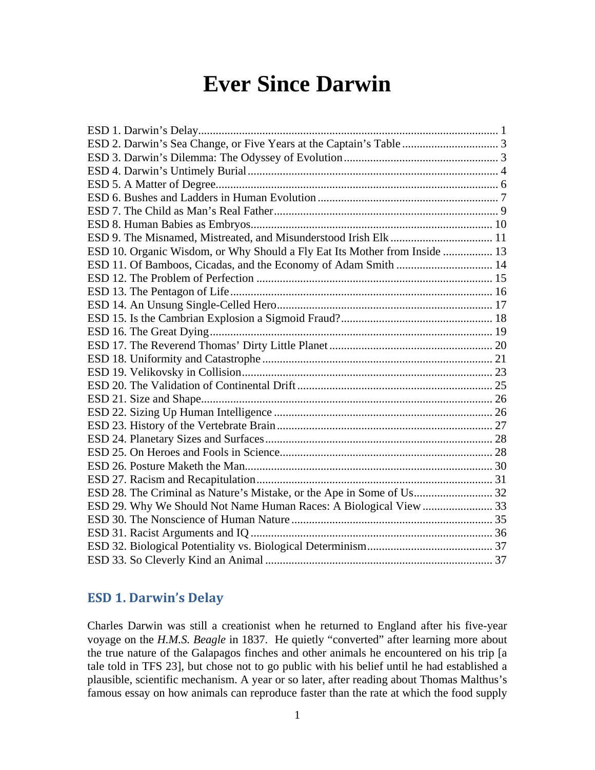# **Ever Since Darwin**

| ESD 10. Organic Wisdom, or Why Should a Fly Eat Its Mother from Inside  13 |  |
|----------------------------------------------------------------------------|--|
| ESD 11. Of Bamboos, Cicadas, and the Economy of Adam Smith  14             |  |
|                                                                            |  |
|                                                                            |  |
|                                                                            |  |
|                                                                            |  |
|                                                                            |  |
|                                                                            |  |
|                                                                            |  |
|                                                                            |  |
|                                                                            |  |
|                                                                            |  |
|                                                                            |  |
|                                                                            |  |
|                                                                            |  |
|                                                                            |  |
|                                                                            |  |
|                                                                            |  |
|                                                                            |  |
|                                                                            |  |
|                                                                            |  |
|                                                                            |  |
|                                                                            |  |
|                                                                            |  |
|                                                                            |  |

# <span id="page-0-0"></span>**ESD 1. Darwin's Delay**

Charles Darwin was still a creationist when he returned to England after his five-year voyage on the *H.M.S. Beagle* in 1837. He quietly "converted" after learning more about the true nature of the Galapagos finches and other animals he encountered on his trip [a tale told in TFS 23], but chose not to go public with his belief until he had established a plausible, scientific mechanism. A year or so later, after reading about Thomas Malthus's famous essay on how animals can reproduce faster than the rate at which the food supply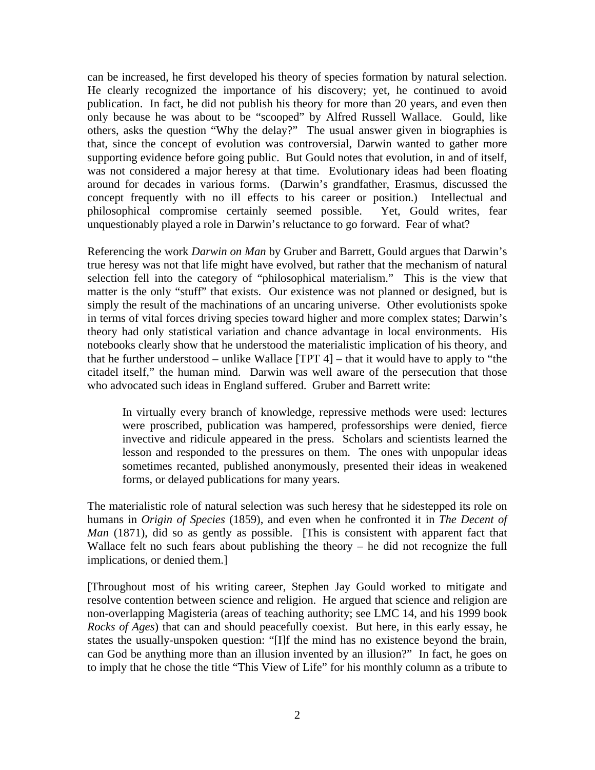can be increased, he first developed his theory of species formation by natural selection. He clearly recognized the importance of his discovery; yet, he continued to avoid publication. In fact, he did not publish his theory for more than 20 years, and even then only because he was about to be "scooped" by Alfred Russell Wallace. Gould, like others, asks the question "Why the delay?" The usual answer given in biographies is that, since the concept of evolution was controversial, Darwin wanted to gather more supporting evidence before going public. But Gould notes that evolution, in and of itself, was not considered a major heresy at that time. Evolutionary ideas had been floating around for decades in various forms. (Darwin's grandfather, Erasmus, discussed the concept frequently with no ill effects to his career or position.) Intellectual and philosophical compromise certainly seemed possible. Yet, Gould writes, fear unquestionably played a role in Darwin's reluctance to go forward. Fear of what?

Referencing the work *Darwin on Man* by Gruber and Barrett, Gould argues that Darwin's true heresy was not that life might have evolved, but rather that the mechanism of natural selection fell into the category of "philosophical materialism." This is the view that matter is the only "stuff" that exists. Our existence was not planned or designed, but is simply the result of the machinations of an uncaring universe. Other evolutionists spoke in terms of vital forces driving species toward higher and more complex states; Darwin's theory had only statistical variation and chance advantage in local environments. His notebooks clearly show that he understood the materialistic implication of his theory, and that he further understood – unlike Wallace [TPT 4] – that it would have to apply to "the citadel itself," the human mind. Darwin was well aware of the persecution that those who advocated such ideas in England suffered. Gruber and Barrett write:

In virtually every branch of knowledge, repressive methods were used: lectures were proscribed, publication was hampered, professorships were denied, fierce invective and ridicule appeared in the press. Scholars and scientists learned the lesson and responded to the pressures on them. The ones with unpopular ideas sometimes recanted, published anonymously, presented their ideas in weakened forms, or delayed publications for many years.

The materialistic role of natural selection was such heresy that he sidestepped its role on humans in *Origin of Species* (1859), and even when he confronted it in *The Decent of Man* (1871), did so as gently as possible. [This is consistent with apparent fact that Wallace felt no such fears about publishing the theory – he did not recognize the full implications, or denied them.]

[Throughout most of his writing career, Stephen Jay Gould worked to mitigate and resolve contention between science and religion. He argued that science and religion are non-overlapping Magisteria (areas of teaching authority; see LMC 14, and his 1999 book *Rocks of Ages*) that can and should peacefully coexist. But here, in this early essay, he states the usually-unspoken question: "[I]f the mind has no existence beyond the brain, can God be anything more than an illusion invented by an illusion?" In fact, he goes on to imply that he chose the title "This View of Life" for his monthly column as a tribute to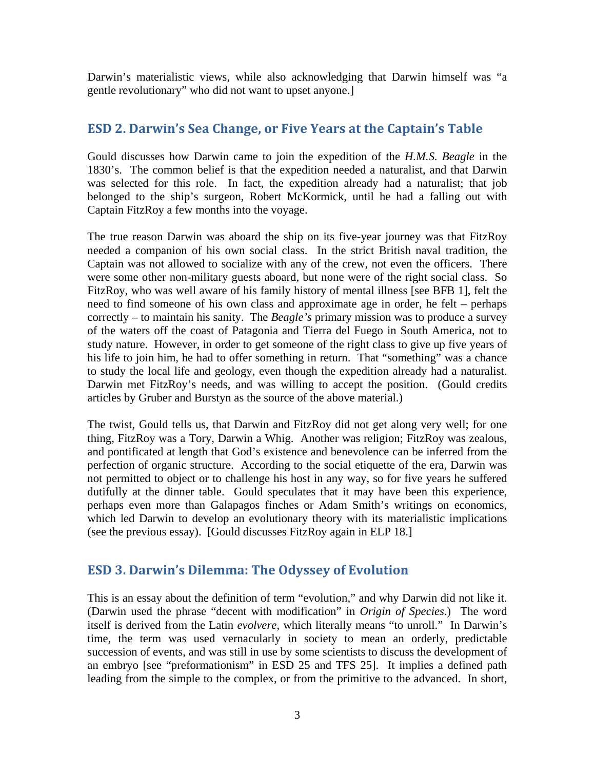Darwin's materialistic views, while also acknowledging that Darwin himself was "a gentle revolutionary" who did not want to upset anyone.]

## <span id="page-2-0"></span>**ESD 2. Darwin's Sea Change, or Five Years at the Captain's Table**

Gould discusses how Darwin came to join the expedition of the *H.M.S. Beagle* in the 1830's. The common belief is that the expedition needed a naturalist, and that Darwin was selected for this role. In fact, the expedition already had a naturalist; that job belonged to the ship's surgeon, Robert McKormick, until he had a falling out with Captain FitzRoy a few months into the voyage.

The true reason Darwin was aboard the ship on its five-year journey was that FitzRoy needed a companion of his own social class. In the strict British naval tradition, the Captain was not allowed to socialize with any of the crew, not even the officers. There were some other non-military guests aboard, but none were of the right social class. So FitzRoy, who was well aware of his family history of mental illness [see BFB 1], felt the need to find someone of his own class and approximate age in order, he felt – perhaps correctly – to maintain his sanity. The *Beagle's* primary mission was to produce a survey of the waters off the coast of Patagonia and Tierra del Fuego in South America, not to study nature. However, in order to get someone of the right class to give up five years of his life to join him, he had to offer something in return. That "something" was a chance to study the local life and geology, even though the expedition already had a naturalist. Darwin met FitzRoy's needs, and was willing to accept the position. (Gould credits articles by Gruber and Burstyn as the source of the above material.)

The twist, Gould tells us, that Darwin and FitzRoy did not get along very well; for one thing, FitzRoy was a Tory, Darwin a Whig. Another was religion; FitzRoy was zealous, and pontificated at length that God's existence and benevolence can be inferred from the perfection of organic structure. According to the social etiquette of the era, Darwin was not permitted to object or to challenge his host in any way, so for five years he suffered dutifully at the dinner table. Gould speculates that it may have been this experience, perhaps even more than Galapagos finches or Adam Smith's writings on economics, which led Darwin to develop an evolutionary theory with its materialistic implications (see the previous essay). [Gould discusses FitzRoy again in ELP 18.]

## <span id="page-2-1"></span>**ESD 3. Darwin's Dilemma: The Odyssey of Evolution**

This is an essay about the definition of term "evolution," and why Darwin did not like it. (Darwin used the phrase "decent with modification" in *Origin of Species*.) The word itself is derived from the Latin *evolvere*, which literally means "to unroll." In Darwin's time, the term was used vernacularly in society to mean an orderly, predictable succession of events, and was still in use by some scientists to discuss the development of an embryo [see "preformationism" in ESD 25 and TFS 25]. It implies a defined path leading from the simple to the complex, or from the primitive to the advanced. In short,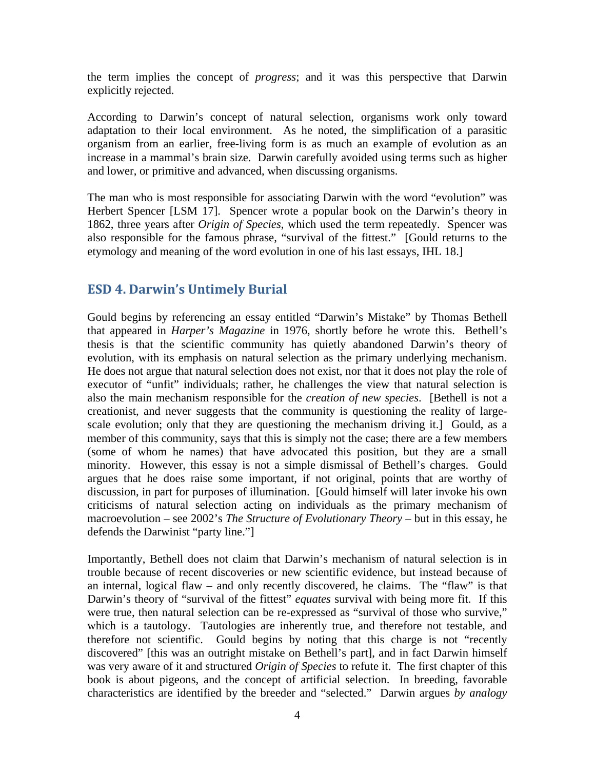the term implies the concept of *progress*; and it was this perspective that Darwin explicitly rejected.

According to Darwin's concept of natural selection, organisms work only toward adaptation to their local environment. As he noted, the simplification of a parasitic organism from an earlier, free-living form is as much an example of evolution as an increase in a mammal's brain size. Darwin carefully avoided using terms such as higher and lower, or primitive and advanced, when discussing organisms.

The man who is most responsible for associating Darwin with the word "evolution" was Herbert Spencer [LSM 17]. Spencer wrote a popular book on the Darwin's theory in 1862, three years after *Origin of Species*, which used the term repeatedly. Spencer was also responsible for the famous phrase, "survival of the fittest." [Gould returns to the etymology and meaning of the word evolution in one of his last essays, IHL 18.]

#### <span id="page-3-0"></span>**ESD 4. Darwin's Untimely Burial**

Gould begins by referencing an essay entitled "Darwin's Mistake" by Thomas Bethell that appeared in *Harper's Magazine* in 1976, shortly before he wrote this. Bethell's thesis is that the scientific community has quietly abandoned Darwin's theory of evolution, with its emphasis on natural selection as the primary underlying mechanism. He does not argue that natural selection does not exist, nor that it does not play the role of executor of "unfit" individuals; rather, he challenges the view that natural selection is also the main mechanism responsible for the *creation of new species*. [Bethell is not a creationist, and never suggests that the community is questioning the reality of largescale evolution; only that they are questioning the mechanism driving it.] Gould, as a member of this community, says that this is simply not the case; there are a few members (some of whom he names) that have advocated this position, but they are a small minority. However, this essay is not a simple dismissal of Bethell's charges. Gould argues that he does raise some important, if not original, points that are worthy of discussion, in part for purposes of illumination. [Gould himself will later invoke his own criticisms of natural selection acting on individuals as the primary mechanism of macroevolution – see 2002's *The Structure of Evolutionary Theory* – but in this essay, he defends the Darwinist "party line."]

Importantly, Bethell does not claim that Darwin's mechanism of natural selection is in trouble because of recent discoveries or new scientific evidence, but instead because of an internal, logical flaw – and only recently discovered, he claims. The "flaw" is that Darwin's theory of "survival of the fittest" *equates* survival with being more fit. If this were true, then natural selection can be re-expressed as "survival of those who survive," which is a tautology. Tautologies are inherently true, and therefore not testable, and therefore not scientific. Gould begins by noting that this charge is not "recently discovered" [this was an outright mistake on Bethell's part], and in fact Darwin himself was very aware of it and structured *Origin of Species* to refute it. The first chapter of this book is about pigeons, and the concept of artificial selection. In breeding, favorable characteristics are identified by the breeder and "selected." Darwin argues *by analogy*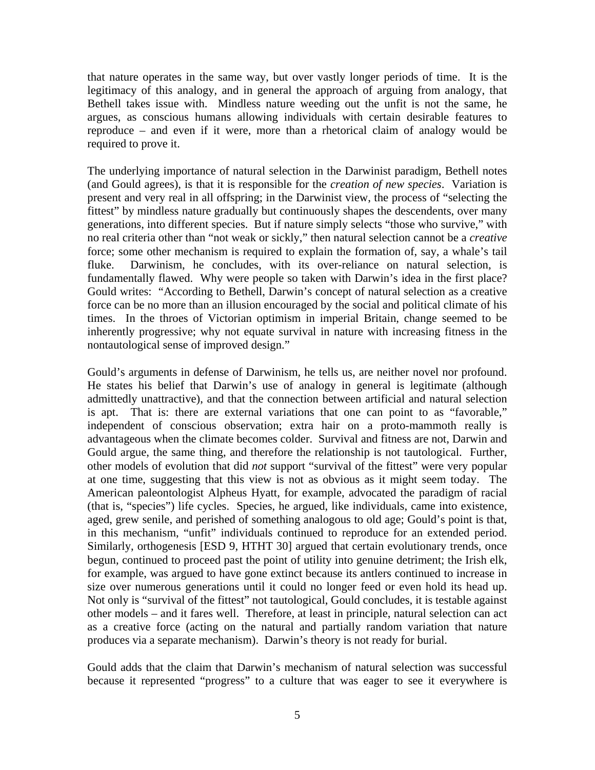that nature operates in the same way, but over vastly longer periods of time. It is the legitimacy of this analogy, and in general the approach of arguing from analogy, that Bethell takes issue with. Mindless nature weeding out the unfit is not the same, he argues, as conscious humans allowing individuals with certain desirable features to reproduce – and even if it were, more than a rhetorical claim of analogy would be required to prove it.

The underlying importance of natural selection in the Darwinist paradigm, Bethell notes (and Gould agrees), is that it is responsible for the *creation of new species*. Variation is present and very real in all offspring; in the Darwinist view, the process of "selecting the fittest" by mindless nature gradually but continuously shapes the descendents, over many generations, into different species. But if nature simply selects "those who survive," with no real criteria other than "not weak or sickly," then natural selection cannot be a *creative* force; some other mechanism is required to explain the formation of, say, a whale's tail fluke. Darwinism, he concludes, with its over-reliance on natural selection, is fundamentally flawed. Why were people so taken with Darwin's idea in the first place? Gould writes: "According to Bethell, Darwin's concept of natural selection as a creative force can be no more than an illusion encouraged by the social and political climate of his times. In the throes of Victorian optimism in imperial Britain, change seemed to be inherently progressive; why not equate survival in nature with increasing fitness in the nontautological sense of improved design."

Gould's arguments in defense of Darwinism, he tells us, are neither novel nor profound. He states his belief that Darwin's use of analogy in general is legitimate (although admittedly unattractive), and that the connection between artificial and natural selection is apt. That is: there are external variations that one can point to as "favorable," independent of conscious observation; extra hair on a proto-mammoth really is advantageous when the climate becomes colder. Survival and fitness are not, Darwin and Gould argue, the same thing, and therefore the relationship is not tautological. Further, other models of evolution that did *not* support "survival of the fittest" were very popular at one time, suggesting that this view is not as obvious as it might seem today. The American paleontologist Alpheus Hyatt, for example, advocated the paradigm of racial (that is, "species") life cycles. Species, he argued, like individuals, came into existence, aged, grew senile, and perished of something analogous to old age; Gould's point is that, in this mechanism, "unfit" individuals continued to reproduce for an extended period. Similarly, orthogenesis [ESD 9, HTHT 30] argued that certain evolutionary trends, once begun, continued to proceed past the point of utility into genuine detriment; the Irish elk, for example, was argued to have gone extinct because its antlers continued to increase in size over numerous generations until it could no longer feed or even hold its head up. Not only is "survival of the fittest" not tautological, Gould concludes, it is testable against other models – and it fares well. Therefore, at least in principle, natural selection can act as a creative force (acting on the natural and partially random variation that nature produces via a separate mechanism). Darwin's theory is not ready for burial.

Gould adds that the claim that Darwin's mechanism of natural selection was successful because it represented "progress" to a culture that was eager to see it everywhere is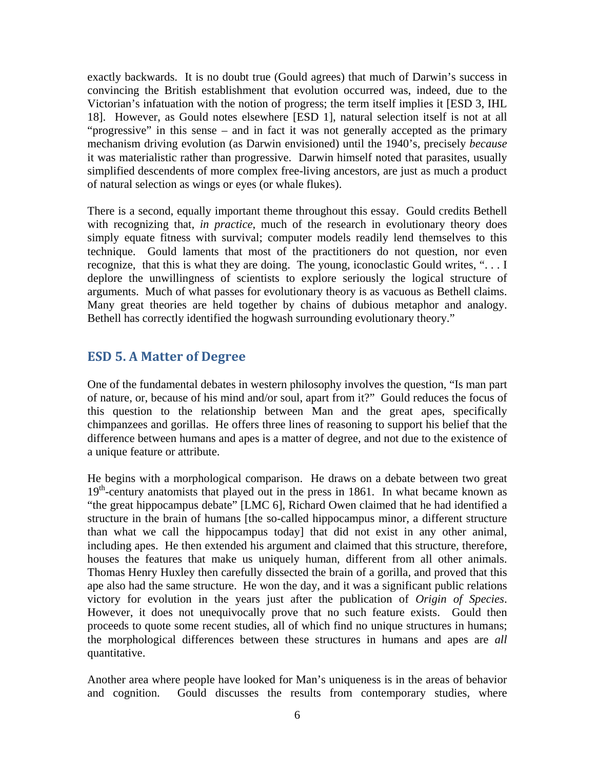exactly backwards. It is no doubt true (Gould agrees) that much of Darwin's success in convincing the British establishment that evolution occurred was, indeed, due to the Victorian's infatuation with the notion of progress; the term itself implies it [ESD 3, IHL 18]. However, as Gould notes elsewhere [ESD 1], natural selection itself is not at all "progressive" in this sense – and in fact it was not generally accepted as the primary mechanism driving evolution (as Darwin envisioned) until the 1940's, precisely *because* it was materialistic rather than progressive. Darwin himself noted that parasites, usually simplified descendents of more complex free-living ancestors, are just as much a product of natural selection as wings or eyes (or whale flukes).

There is a second, equally important theme throughout this essay. Gould credits Bethell with recognizing that, *in practice*, much of the research in evolutionary theory does simply equate fitness with survival; computer models readily lend themselves to this technique. Gould laments that most of the practitioners do not question, nor even recognize, that this is what they are doing. The young, iconoclastic Gould writes, ". . . I deplore the unwillingness of scientists to explore seriously the logical structure of arguments. Much of what passes for evolutionary theory is as vacuous as Bethell claims. Many great theories are held together by chains of dubious metaphor and analogy. Bethell has correctly identified the hogwash surrounding evolutionary theory."

### <span id="page-5-0"></span>**ESD 5. A Matter of Degree**

One of the fundamental debates in western philosophy involves the question, "Is man part of nature, or, because of his mind and/or soul, apart from it?" Gould reduces the focus of this question to the relationship between Man and the great apes, specifically chimpanzees and gorillas. He offers three lines of reasoning to support his belief that the difference between humans and apes is a matter of degree, and not due to the existence of a unique feature or attribute.

He begins with a morphological comparison. He draws on a debate between two great 19<sup>th</sup>-century anatomists that played out in the press in 1861. In what became known as "the great hippocampus debate" [LMC 6], Richard Owen claimed that he had identified a structure in the brain of humans [the so-called hippocampus minor, a different structure than what we call the hippocampus today] that did not exist in any other animal, including apes. He then extended his argument and claimed that this structure, therefore, houses the features that make us uniquely human, different from all other animals. Thomas Henry Huxley then carefully dissected the brain of a gorilla, and proved that this ape also had the same structure. He won the day, and it was a significant public relations victory for evolution in the years just after the publication of *Origin of Species*. However, it does not unequivocally prove that no such feature exists. Gould then proceeds to quote some recent studies, all of which find no unique structures in humans; the morphological differences between these structures in humans and apes are *all* quantitative.

Another area where people have looked for Man's uniqueness is in the areas of behavior and cognition. Gould discusses the results from contemporary studies, where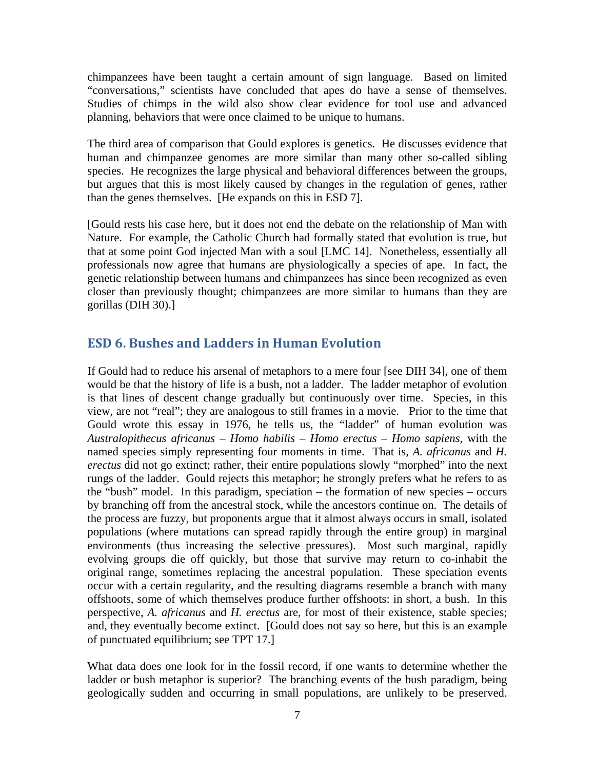chimpanzees have been taught a certain amount of sign language. Based on limited "conversations," scientists have concluded that apes do have a sense of themselves. Studies of chimps in the wild also show clear evidence for tool use and advanced planning, behaviors that were once claimed to be unique to humans.

The third area of comparison that Gould explores is genetics. He discusses evidence that human and chimpanzee genomes are more similar than many other so-called sibling species. He recognizes the large physical and behavioral differences between the groups, but argues that this is most likely caused by changes in the regulation of genes, rather than the genes themselves. [He expands on this in ESD 7].

[Gould rests his case here, but it does not end the debate on the relationship of Man with Nature. For example, the Catholic Church had formally stated that evolution is true, but that at some point God injected Man with a soul [LMC 14]. Nonetheless, essentially all professionals now agree that humans are physiologically a species of ape. In fact, the genetic relationship between humans and chimpanzees has since been recognized as even closer than previously thought; chimpanzees are more similar to humans than they are gorillas (DIH 30).]

## <span id="page-6-0"></span>**ESD 6. Bushes and Ladders in Human Evolution**

If Gould had to reduce his arsenal of metaphors to a mere four [see DIH 34], one of them would be that the history of life is a bush, not a ladder. The ladder metaphor of evolution is that lines of descent change gradually but continuously over time. Species, in this view, are not "real"; they are analogous to still frames in a movie. Prior to the time that Gould wrote this essay in 1976, he tells us, the "ladder" of human evolution was *Australopithecus africanus – Homo habilis – Homo erectus – Homo sapiens*, with the named species simply representing four moments in time. That is, *A. africanus* and *H. erectus* did not go extinct; rather, their entire populations slowly "morphed" into the next rungs of the ladder. Gould rejects this metaphor; he strongly prefers what he refers to as the "bush" model. In this paradigm, speciation – the formation of new species – occurs by branching off from the ancestral stock, while the ancestors continue on. The details of the process are fuzzy, but proponents argue that it almost always occurs in small, isolated populations (where mutations can spread rapidly through the entire group) in marginal environments (thus increasing the selective pressures). Most such marginal, rapidly evolving groups die off quickly, but those that survive may return to co-inhabit the original range, sometimes replacing the ancestral population. These speciation events occur with a certain regularity, and the resulting diagrams resemble a branch with many offshoots, some of which themselves produce further offshoots: in short, a bush. In this perspective, *A. africanus* and *H. erectus* are, for most of their existence, stable species; and, they eventually become extinct. [Gould does not say so here, but this is an example of punctuated equilibrium; see TPT 17.]

What data does one look for in the fossil record, if one wants to determine whether the ladder or bush metaphor is superior? The branching events of the bush paradigm, being geologically sudden and occurring in small populations, are unlikely to be preserved.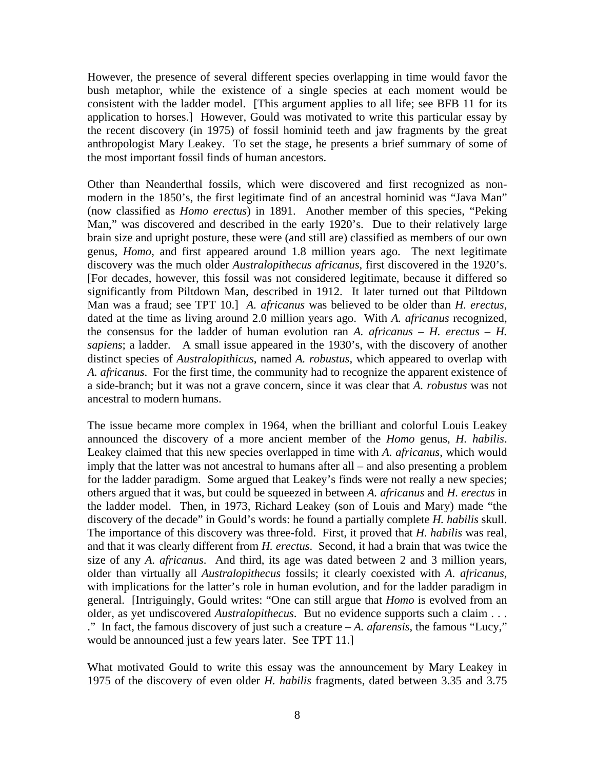However, the presence of several different species overlapping in time would favor the bush metaphor, while the existence of a single species at each moment would be consistent with the ladder model. [This argument applies to all life; see BFB 11 for its application to horses.] However, Gould was motivated to write this particular essay by the recent discovery (in 1975) of fossil hominid teeth and jaw fragments by the great anthropologist Mary Leakey. To set the stage, he presents a brief summary of some of the most important fossil finds of human ancestors.

Other than Neanderthal fossils, which were discovered and first recognized as nonmodern in the 1850's, the first legitimate find of an ancestral hominid was "Java Man" (now classified as *Homo erectus*) in 1891. Another member of this species, "Peking Man," was discovered and described in the early 1920's. Due to their relatively large brain size and upright posture, these were (and still are) classified as members of our own genus, *Homo*, and first appeared around 1.8 million years ago. The next legitimate discovery was the much older *Australopithecus africanus*, first discovered in the 1920's. [For decades, however, this fossil was not considered legitimate, because it differed so significantly from Piltdown Man, described in 1912. It later turned out that Piltdown Man was a fraud; see TPT 10.] *A. africanus* was believed to be older than *H. erectus*, dated at the time as living around 2.0 million years ago. With *A. africanus* recognized, the consensus for the ladder of human evolution ran  $A$ . *africanus – H. erectus – H. sapiens*; a ladder. A small issue appeared in the 1930's, with the discovery of another distinct species of *Australopithicus*, named *A. robustus*, which appeared to overlap with *A. africanus*. For the first time, the community had to recognize the apparent existence of a side-branch; but it was not a grave concern, since it was clear that *A. robustus* was not ancestral to modern humans.

The issue became more complex in 1964, when the brilliant and colorful Louis Leakey announced the discovery of a more ancient member of the *Homo* genus, *H. habilis*. Leakey claimed that this new species overlapped in time with *A. africanus*, which would imply that the latter was not ancestral to humans after all – and also presenting a problem for the ladder paradigm. Some argued that Leakey's finds were not really a new species; others argued that it was, but could be squeezed in between *A. africanus* and *H. erectus* in the ladder model. Then, in 1973, Richard Leakey (son of Louis and Mary) made "the discovery of the decade" in Gould's words: he found a partially complete *H. habilis* skull. The importance of this discovery was three-fold. First, it proved that *H. habilis* was real, and that it was clearly different from *H. erectus*. Second, it had a brain that was twice the size of any *A. africanus*. And third, its age was dated between 2 and 3 million years, older than virtually all *Australopithecus* fossils; it clearly coexisted with *A. africanus*, with implications for the latter's role in human evolution, and for the ladder paradigm in general. [Intriguingly, Gould writes: "One can still argue that *Homo* is evolved from an older, as yet undiscovered *Australopithecus*. But no evidence supports such a claim . . . ." In fact, the famous discovery of just such a creature – *A. afarensis*, the famous "Lucy," would be announced just a few years later. See TPT 11.]

What motivated Gould to write this essay was the announcement by Mary Leakey in 1975 of the discovery of even older *H. habilis* fragments, dated between 3.35 and 3.75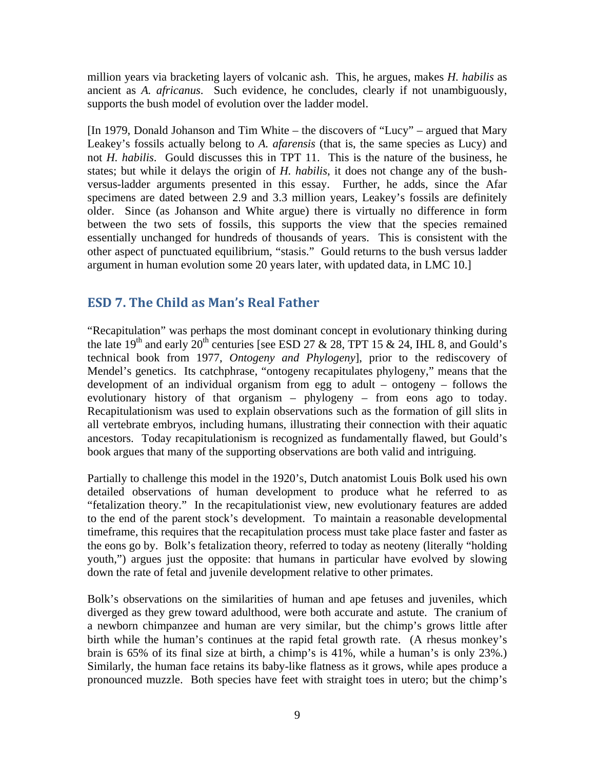million years via bracketing layers of volcanic ash. This, he argues, makes *H. habilis* as ancient as *A. africanus*. Such evidence, he concludes, clearly if not unambiguously, supports the bush model of evolution over the ladder model.

[In 1979, Donald Johanson and Tim White – the discovers of "Lucy" – argued that Mary Leakey's fossils actually belong to *A. afarensis* (that is, the same species as Lucy) and not *H. habilis*. Gould discusses this in TPT 11. This is the nature of the business, he states; but while it delays the origin of *H. habilis*, it does not change any of the bushversus-ladder arguments presented in this essay. Further, he adds, since the Afar specimens are dated between 2.9 and 3.3 million years, Leakey's fossils are definitely older. Since (as Johanson and White argue) there is virtually no difference in form between the two sets of fossils, this supports the view that the species remained essentially unchanged for hundreds of thousands of years. This is consistent with the other aspect of punctuated equilibrium, "stasis." Gould returns to the bush versus ladder argument in human evolution some 20 years later, with updated data, in LMC 10.]

# <span id="page-8-0"></span>**ESD 7. The Child as Man's Real Father**

"Recapitulation" was perhaps the most dominant concept in evolutionary thinking during the late 19<sup>th</sup> and early 20<sup>th</sup> centuries [see ESD 27 & 28, TPT 15 & 24, IHL 8, and Gould's technical book from 1977, *Ontogeny and Phylogeny*], prior to the rediscovery of Mendel's genetics. Its catchphrase, "ontogeny recapitulates phylogeny," means that the development of an individual organism from egg to adult – ontogeny – follows the evolutionary history of that organism – phylogeny – from eons ago to today. Recapitulationism was used to explain observations such as the formation of gill slits in all vertebrate embryos, including humans, illustrating their connection with their aquatic ancestors. Today recapitulationism is recognized as fundamentally flawed, but Gould's book argues that many of the supporting observations are both valid and intriguing.

Partially to challenge this model in the 1920's, Dutch anatomist Louis Bolk used his own detailed observations of human development to produce what he referred to as "fetalization theory." In the recapitulationist view, new evolutionary features are added to the end of the parent stock's development. To maintain a reasonable developmental timeframe, this requires that the recapitulation process must take place faster and faster as the eons go by. Bolk's fetalization theory, referred to today as neoteny (literally "holding youth,") argues just the opposite: that humans in particular have evolved by slowing down the rate of fetal and juvenile development relative to other primates.

Bolk's observations on the similarities of human and ape fetuses and juveniles, which diverged as they grew toward adulthood, were both accurate and astute. The cranium of a newborn chimpanzee and human are very similar, but the chimp's grows little after birth while the human's continues at the rapid fetal growth rate. (A rhesus monkey's brain is 65% of its final size at birth, a chimp's is 41%, while a human's is only 23%.) Similarly, the human face retains its baby-like flatness as it grows, while apes produce a pronounced muzzle. Both species have feet with straight toes in utero; but the chimp's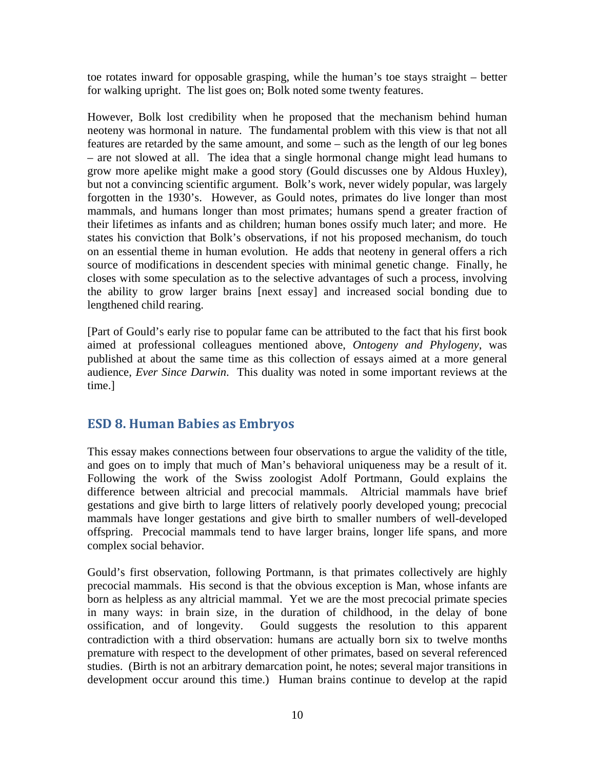toe rotates inward for opposable grasping, while the human's toe stays straight – better for walking upright. The list goes on; Bolk noted some twenty features.

However, Bolk lost credibility when he proposed that the mechanism behind human neoteny was hormonal in nature. The fundamental problem with this view is that not all features are retarded by the same amount, and some – such as the length of our leg bones – are not slowed at all. The idea that a single hormonal change might lead humans to grow more apelike might make a good story (Gould discusses one by Aldous Huxley), but not a convincing scientific argument. Bolk's work, never widely popular, was largely forgotten in the 1930's. However, as Gould notes, primates do live longer than most mammals, and humans longer than most primates; humans spend a greater fraction of their lifetimes as infants and as children; human bones ossify much later; and more. He states his conviction that Bolk's observations, if not his proposed mechanism, do touch on an essential theme in human evolution. He adds that neoteny in general offers a rich source of modifications in descendent species with minimal genetic change. Finally, he closes with some speculation as to the selective advantages of such a process, involving the ability to grow larger brains [next essay] and increased social bonding due to lengthened child rearing.

[Part of Gould's early rise to popular fame can be attributed to the fact that his first book aimed at professional colleagues mentioned above, *Ontogeny and Phylogeny*, was published at about the same time as this collection of essays aimed at a more general audience, *Ever Since Darwin*. This duality was noted in some important reviews at the time.]

# <span id="page-9-0"></span>**ESD 8. Human Babies as Embryos**

This essay makes connections between four observations to argue the validity of the title, and goes on to imply that much of Man's behavioral uniqueness may be a result of it. Following the work of the Swiss zoologist Adolf Portmann, Gould explains the difference between altricial and precocial mammals. Altricial mammals have brief gestations and give birth to large litters of relatively poorly developed young; precocial mammals have longer gestations and give birth to smaller numbers of well-developed offspring. Precocial mammals tend to have larger brains, longer life spans, and more complex social behavior.

Gould's first observation, following Portmann, is that primates collectively are highly precocial mammals. His second is that the obvious exception is Man, whose infants are born as helpless as any altricial mammal. Yet we are the most precocial primate species in many ways: in brain size, in the duration of childhood, in the delay of bone ossification, and of longevity. Gould suggests the resolution to this apparent contradiction with a third observation: humans are actually born six to twelve months premature with respect to the development of other primates, based on several referenced studies. (Birth is not an arbitrary demarcation point, he notes; several major transitions in development occur around this time.) Human brains continue to develop at the rapid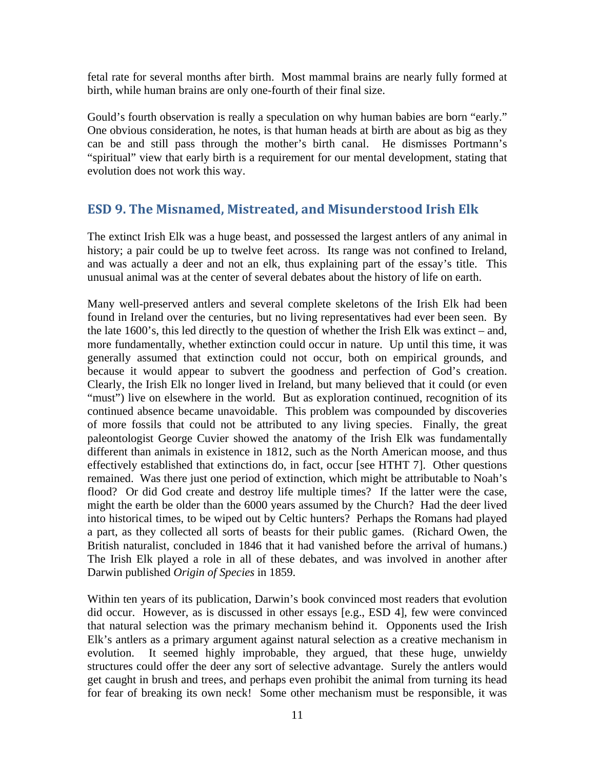fetal rate for several months after birth. Most mammal brains are nearly fully formed at birth, while human brains are only one-fourth of their final size.

Gould's fourth observation is really a speculation on why human babies are born "early." One obvious consideration, he notes, is that human heads at birth are about as big as they can be and still pass through the mother's birth canal. He dismisses Portmann's "spiritual" view that early birth is a requirement for our mental development, stating that evolution does not work this way.

### <span id="page-10-0"></span>**ESD 9. The Misnamed, Mistreated, and Misunderstood Irish Elk**

The extinct Irish Elk was a huge beast, and possessed the largest antlers of any animal in history; a pair could be up to twelve feet across. Its range was not confined to Ireland, and was actually a deer and not an elk, thus explaining part of the essay's title. This unusual animal was at the center of several debates about the history of life on earth.

Many well-preserved antlers and several complete skeletons of the Irish Elk had been found in Ireland over the centuries, but no living representatives had ever been seen. By the late 1600's, this led directly to the question of whether the Irish Elk was extinct – and, more fundamentally, whether extinction could occur in nature. Up until this time, it was generally assumed that extinction could not occur, both on empirical grounds, and because it would appear to subvert the goodness and perfection of God's creation. Clearly, the Irish Elk no longer lived in Ireland, but many believed that it could (or even "must") live on elsewhere in the world. But as exploration continued, recognition of its continued absence became unavoidable. This problem was compounded by discoveries of more fossils that could not be attributed to any living species. Finally, the great paleontologist George Cuvier showed the anatomy of the Irish Elk was fundamentally different than animals in existence in 1812, such as the North American moose, and thus effectively established that extinctions do, in fact, occur [see HTHT 7]. Other questions remained. Was there just one period of extinction, which might be attributable to Noah's flood? Or did God create and destroy life multiple times? If the latter were the case, might the earth be older than the 6000 years assumed by the Church? Had the deer lived into historical times, to be wiped out by Celtic hunters? Perhaps the Romans had played a part, as they collected all sorts of beasts for their public games. (Richard Owen, the British naturalist, concluded in 1846 that it had vanished before the arrival of humans.) The Irish Elk played a role in all of these debates, and was involved in another after Darwin published *Origin of Species* in 1859.

Within ten years of its publication, Darwin's book convinced most readers that evolution did occur. However, as is discussed in other essays [e.g., ESD 4], few were convinced that natural selection was the primary mechanism behind it. Opponents used the Irish Elk's antlers as a primary argument against natural selection as a creative mechanism in evolution. It seemed highly improbable, they argued, that these huge, unwieldy structures could offer the deer any sort of selective advantage. Surely the antlers would get caught in brush and trees, and perhaps even prohibit the animal from turning its head for fear of breaking its own neck! Some other mechanism must be responsible, it was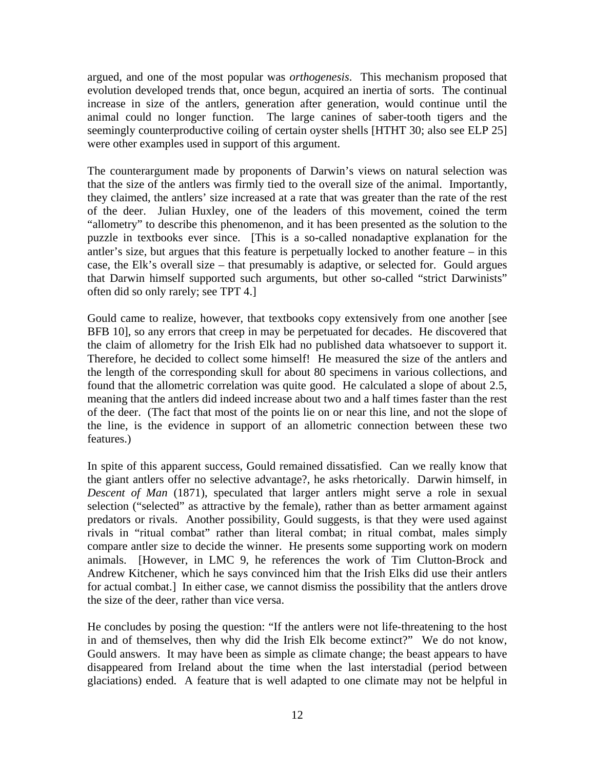argued, and one of the most popular was *orthogenesis*. This mechanism proposed that evolution developed trends that, once begun, acquired an inertia of sorts. The continual increase in size of the antlers, generation after generation, would continue until the animal could no longer function. The large canines of saber-tooth tigers and the seemingly counterproductive coiling of certain oyster shells [HTHT 30; also see ELP 25] were other examples used in support of this argument.

The counterargument made by proponents of Darwin's views on natural selection was that the size of the antlers was firmly tied to the overall size of the animal. Importantly, they claimed, the antlers' size increased at a rate that was greater than the rate of the rest of the deer. Julian Huxley, one of the leaders of this movement, coined the term "allometry" to describe this phenomenon, and it has been presented as the solution to the puzzle in textbooks ever since. [This is a so-called nonadaptive explanation for the antler's size, but argues that this feature is perpetually locked to another feature  $-$  in this case, the Elk's overall size – that presumably is adaptive, or selected for. Gould argues that Darwin himself supported such arguments, but other so-called "strict Darwinists" often did so only rarely; see TPT 4.]

Gould came to realize, however, that textbooks copy extensively from one another [see BFB 10], so any errors that creep in may be perpetuated for decades. He discovered that the claim of allometry for the Irish Elk had no published data whatsoever to support it. Therefore, he decided to collect some himself! He measured the size of the antlers and the length of the corresponding skull for about 80 specimens in various collections, and found that the allometric correlation was quite good. He calculated a slope of about 2.5, meaning that the antlers did indeed increase about two and a half times faster than the rest of the deer. (The fact that most of the points lie on or near this line, and not the slope of the line, is the evidence in support of an allometric connection between these two features.)

In spite of this apparent success, Gould remained dissatisfied. Can we really know that the giant antlers offer no selective advantage?, he asks rhetorically. Darwin himself, in *Descent of Man* (1871), speculated that larger antlers might serve a role in sexual selection ("selected" as attractive by the female), rather than as better armament against predators or rivals. Another possibility, Gould suggests, is that they were used against rivals in "ritual combat" rather than literal combat; in ritual combat, males simply compare antler size to decide the winner. He presents some supporting work on modern animals. [However, in LMC 9, he references the work of Tim Clutton-Brock and Andrew Kitchener, which he says convinced him that the Irish Elks did use their antlers for actual combat.] In either case, we cannot dismiss the possibility that the antlers drove the size of the deer, rather than vice versa.

He concludes by posing the question: "If the antlers were not life-threatening to the host in and of themselves, then why did the Irish Elk become extinct?" We do not know, Gould answers. It may have been as simple as climate change; the beast appears to have disappeared from Ireland about the time when the last interstadial (period between glaciations) ended. A feature that is well adapted to one climate may not be helpful in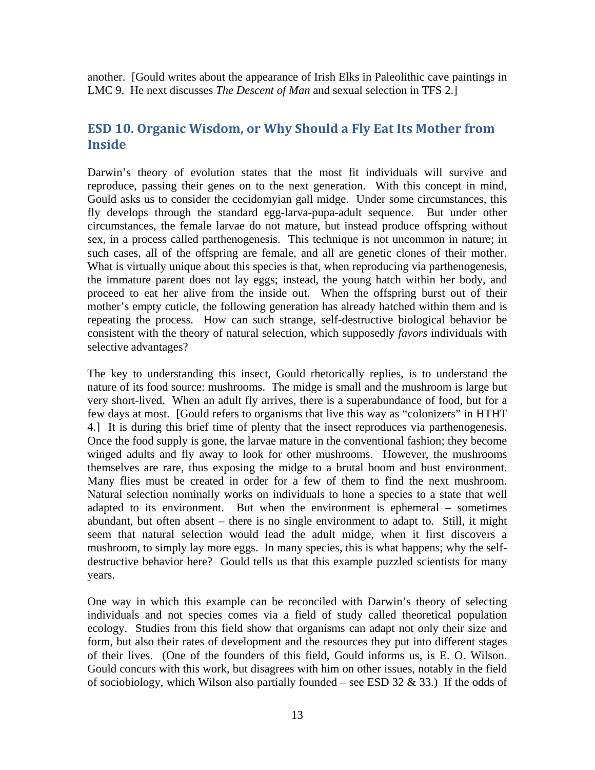another. [Gould writes about the appearance of Irish Elks in Paleolithic cave paintings in LMC 9. He next discusses *The Descent of Man* and sexual selection in TFS 2.]

# <span id="page-12-0"></span>**ESD 10. Organic Wisdom, or Why Should a Fly Eat Its Mother from Inside**

Darwin's theory of evolution states that the most fit individuals will survive and reproduce, passing their genes on to the next generation. With this concept in mind, Gould asks us to consider the cecidomyian gall midge. Under some circumstances, this fly develops through the standard egg-larva-pupa-adult sequence. But under other circumstances, the female larvae do not mature, but instead produce offspring without sex, in a process called parthenogenesis. This technique is not uncommon in nature; in such cases, all of the offspring are female, and all are genetic clones of their mother. What is virtually unique about this species is that, when reproducing via parthenogenesis, the immature parent does not lay eggs; instead, the young hatch within her body, and proceed to eat her alive from the inside out. When the offspring burst out of their mother's empty cuticle, the following generation has already hatched within them and is repeating the process. How can such strange, self-destructive biological behavior be consistent with the theory of natural selection, which supposedly *favors* individuals with selective advantages?

The key to understanding this insect, Gould rhetorically replies, is to understand the nature of its food source: mushrooms. The midge is small and the mushroom is large but very short-lived. When an adult fly arrives, there is a superabundance of food, but for a few days at most. [Gould refers to organisms that live this way as "colonizers" in HTHT 4.] It is during this brief time of plenty that the insect reproduces via parthenogenesis. Once the food supply is gone, the larvae mature in the conventional fashion; they become winged adults and fly away to look for other mushrooms. However, the mushrooms themselves are rare, thus exposing the midge to a brutal boom and bust environment. Many flies must be created in order for a few of them to find the next mushroom. Natural selection nominally works on individuals to hone a species to a state that well adapted to its environment. But when the environment is ephemeral – sometimes abundant, but often absent – there is no single environment to adapt to. Still, it might seem that natural selection would lead the adult midge, when it first discovers a mushroom, to simply lay more eggs. In many species, this is what happens; why the selfdestructive behavior here? Gould tells us that this example puzzled scientists for many years.

One way in which this example can be reconciled with Darwin's theory of selecting individuals and not species comes via a field of study called theoretical population ecology. Studies from this field show that organisms can adapt not only their size and form, but also their rates of development and the resources they put into different stages of their lives. (One of the founders of this field, Gould informs us, is E. O. Wilson. Gould concurs with this work, but disagrees with him on other issues, notably in the field of sociobiology, which Wilson also partially founded – see ESD 32  $\&$  33.) If the odds of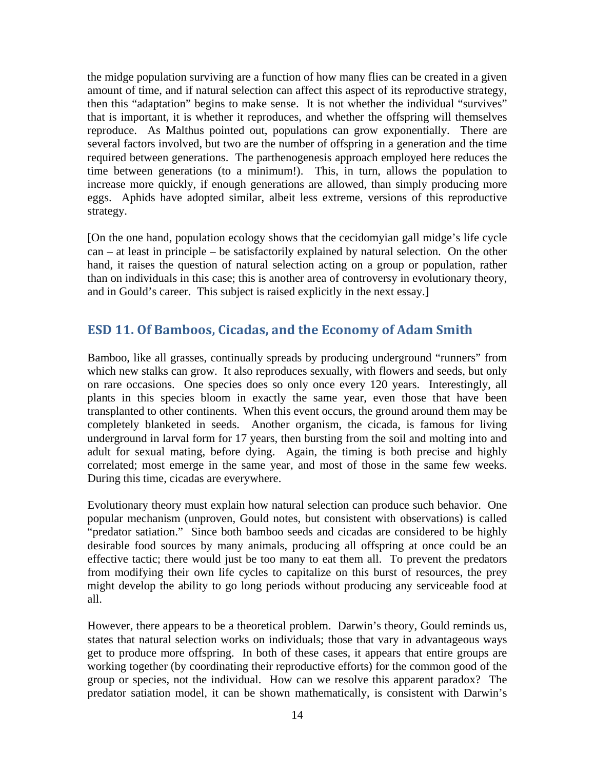the midge population surviving are a function of how many flies can be created in a given amount of time, and if natural selection can affect this aspect of its reproductive strategy, then this "adaptation" begins to make sense. It is not whether the individual "survives" that is important, it is whether it reproduces, and whether the offspring will themselves reproduce. As Malthus pointed out, populations can grow exponentially. There are several factors involved, but two are the number of offspring in a generation and the time required between generations. The parthenogenesis approach employed here reduces the time between generations (to a minimum!). This, in turn, allows the population to increase more quickly, if enough generations are allowed, than simply producing more eggs. Aphids have adopted similar, albeit less extreme, versions of this reproductive strategy.

[On the one hand, population ecology shows that the cecidomyian gall midge's life cycle can – at least in principle – be satisfactorily explained by natural selection. On the other hand, it raises the question of natural selection acting on a group or population, rather than on individuals in this case; this is another area of controversy in evolutionary theory, and in Gould's career. This subject is raised explicitly in the next essay.]

# <span id="page-13-0"></span>**ESD 11. Of Bamboos, Cicadas, and the Economy of Adam Smith**

Bamboo, like all grasses, continually spreads by producing underground "runners" from which new stalks can grow. It also reproduces sexually, with flowers and seeds, but only on rare occasions. One species does so only once every 120 years. Interestingly, all plants in this species bloom in exactly the same year, even those that have been transplanted to other continents. When this event occurs, the ground around them may be completely blanketed in seeds. Another organism, the cicada, is famous for living underground in larval form for 17 years, then bursting from the soil and molting into and adult for sexual mating, before dying. Again, the timing is both precise and highly correlated; most emerge in the same year, and most of those in the same few weeks. During this time, cicadas are everywhere.

Evolutionary theory must explain how natural selection can produce such behavior. One popular mechanism (unproven, Gould notes, but consistent with observations) is called "predator satiation." Since both bamboo seeds and cicadas are considered to be highly desirable food sources by many animals, producing all offspring at once could be an effective tactic; there would just be too many to eat them all. To prevent the predators from modifying their own life cycles to capitalize on this burst of resources, the prey might develop the ability to go long periods without producing any serviceable food at all.

However, there appears to be a theoretical problem. Darwin's theory, Gould reminds us, states that natural selection works on individuals; those that vary in advantageous ways get to produce more offspring. In both of these cases, it appears that entire groups are working together (by coordinating their reproductive efforts) for the common good of the group or species, not the individual. How can we resolve this apparent paradox? The predator satiation model, it can be shown mathematically, is consistent with Darwin's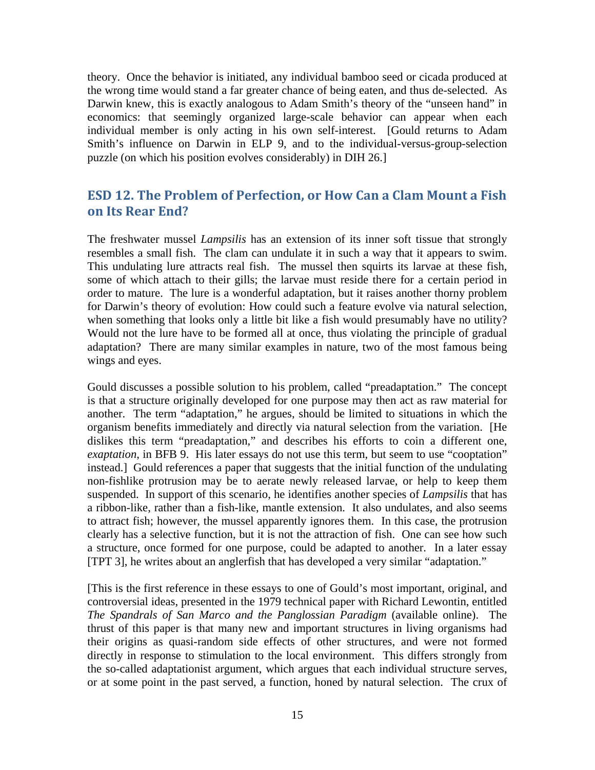theory. Once the behavior is initiated, any individual bamboo seed or cicada produced at the wrong time would stand a far greater chance of being eaten, and thus de-selected. As Darwin knew, this is exactly analogous to Adam Smith's theory of the "unseen hand" in economics: that seemingly organized large-scale behavior can appear when each individual member is only acting in his own self-interest. [Gould returns to Adam Smith's influence on Darwin in ELP 9, and to the individual-versus-group-selection puzzle (on which his position evolves considerably) in DIH 26.]

# <span id="page-14-0"></span>**ESD 12. The Problem of Perfection, or How Can a Clam Mount a Fish on Its Rear End?**

The freshwater mussel *Lampsilis* has an extension of its inner soft tissue that strongly resembles a small fish. The clam can undulate it in such a way that it appears to swim. This undulating lure attracts real fish. The mussel then squirts its larvae at these fish, some of which attach to their gills; the larvae must reside there for a certain period in order to mature. The lure is a wonderful adaptation, but it raises another thorny problem for Darwin's theory of evolution: How could such a feature evolve via natural selection, when something that looks only a little bit like a fish would presumably have no utility? Would not the lure have to be formed all at once, thus violating the principle of gradual adaptation? There are many similar examples in nature, two of the most famous being wings and eyes.

Gould discusses a possible solution to his problem, called "preadaptation." The concept is that a structure originally developed for one purpose may then act as raw material for another. The term "adaptation," he argues, should be limited to situations in which the organism benefits immediately and directly via natural selection from the variation. [He dislikes this term "preadaptation," and describes his efforts to coin a different one, *exaptation*, in BFB 9. His later essays do not use this term, but seem to use "cooptation" instead.] Gould references a paper that suggests that the initial function of the undulating non-fishlike protrusion may be to aerate newly released larvae, or help to keep them suspended. In support of this scenario, he identifies another species of *Lampsilis* that has a ribbon-like, rather than a fish-like, mantle extension. It also undulates, and also seems to attract fish; however, the mussel apparently ignores them. In this case, the protrusion clearly has a selective function, but it is not the attraction of fish. One can see how such a structure, once formed for one purpose, could be adapted to another. In a later essay [TPT 3], he writes about an anglerfish that has developed a very similar "adaptation."

[This is the first reference in these essays to one of Gould's most important, original, and controversial ideas, presented in the 1979 technical paper with Richard Lewontin, entitled *The Spandrals of San Marco and the Panglossian Paradigm* (available online). The thrust of this paper is that many new and important structures in living organisms had their origins as quasi-random side effects of other structures, and were not formed directly in response to stimulation to the local environment. This differs strongly from the so-called adaptationist argument, which argues that each individual structure serves, or at some point in the past served, a function, honed by natural selection. The crux of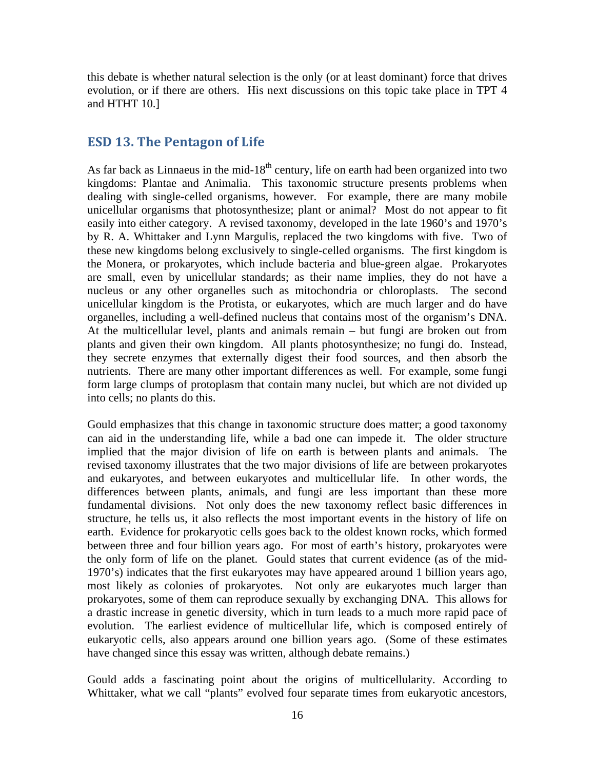this debate is whether natural selection is the only (or at least dominant) force that drives evolution, or if there are others. His next discussions on this topic take place in TPT 4 and HTHT 10.]

#### <span id="page-15-0"></span>**ESD 13. The Pentagon of Life**

As far back as Linnaeus in the mid- $18<sup>th</sup>$  century, life on earth had been organized into two kingdoms: Plantae and Animalia. This taxonomic structure presents problems when dealing with single-celled organisms, however. For example, there are many mobile unicellular organisms that photosynthesize; plant or animal? Most do not appear to fit easily into either category. A revised taxonomy, developed in the late 1960's and 1970's by R. A. Whittaker and Lynn Margulis, replaced the two kingdoms with five. Two of these new kingdoms belong exclusively to single-celled organisms. The first kingdom is the Monera, or prokaryotes, which include bacteria and blue-green algae. Prokaryotes are small, even by unicellular standards; as their name implies, they do not have a nucleus or any other organelles such as mitochondria or chloroplasts. The second unicellular kingdom is the Protista, or eukaryotes, which are much larger and do have organelles, including a well-defined nucleus that contains most of the organism's DNA. At the multicellular level, plants and animals remain – but fungi are broken out from plants and given their own kingdom. All plants photosynthesize; no fungi do. Instead, they secrete enzymes that externally digest their food sources, and then absorb the nutrients. There are many other important differences as well. For example, some fungi form large clumps of protoplasm that contain many nuclei, but which are not divided up into cells; no plants do this.

Gould emphasizes that this change in taxonomic structure does matter; a good taxonomy can aid in the understanding life, while a bad one can impede it. The older structure implied that the major division of life on earth is between plants and animals. The revised taxonomy illustrates that the two major divisions of life are between prokaryotes and eukaryotes, and between eukaryotes and multicellular life. In other words, the differences between plants, animals, and fungi are less important than these more fundamental divisions. Not only does the new taxonomy reflect basic differences in structure, he tells us, it also reflects the most important events in the history of life on earth. Evidence for prokaryotic cells goes back to the oldest known rocks, which formed between three and four billion years ago. For most of earth's history, prokaryotes were the only form of life on the planet. Gould states that current evidence (as of the mid-1970's) indicates that the first eukaryotes may have appeared around 1 billion years ago, most likely as colonies of prokaryotes. Not only are eukaryotes much larger than prokaryotes, some of them can reproduce sexually by exchanging DNA. This allows for a drastic increase in genetic diversity, which in turn leads to a much more rapid pace of evolution. The earliest evidence of multicellular life, which is composed entirely of eukaryotic cells, also appears around one billion years ago. (Some of these estimates have changed since this essay was written, although debate remains.)

Gould adds a fascinating point about the origins of multicellularity. According to Whittaker, what we call "plants" evolved four separate times from eukaryotic ancestors,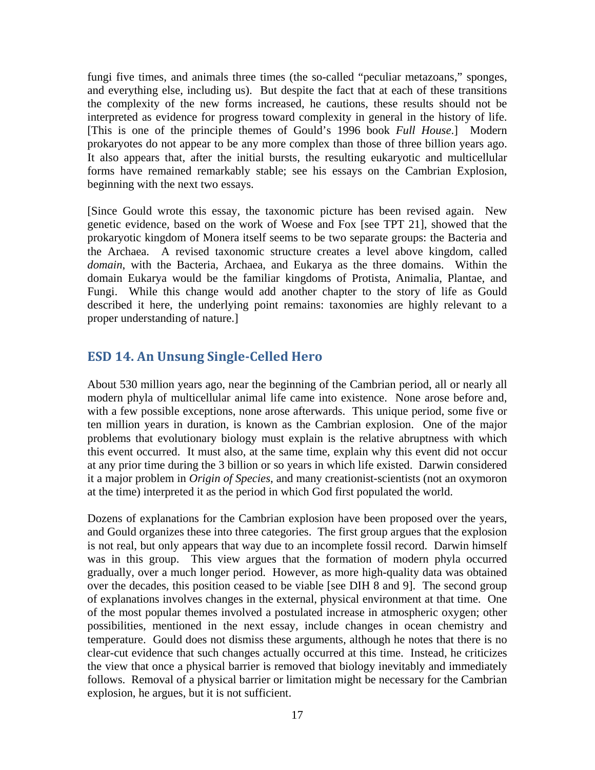fungi five times, and animals three times (the so-called "peculiar metazoans," sponges, and everything else, including us). But despite the fact that at each of these transitions the complexity of the new forms increased, he cautions, these results should not be interpreted as evidence for progress toward complexity in general in the history of life. [This is one of the principle themes of Gould's 1996 book *Full House*.] Modern prokaryotes do not appear to be any more complex than those of three billion years ago. It also appears that, after the initial bursts, the resulting eukaryotic and multicellular forms have remained remarkably stable; see his essays on the Cambrian Explosion, beginning with the next two essays.

[Since Gould wrote this essay, the taxonomic picture has been revised again. New genetic evidence, based on the work of Woese and Fox [see TPT 21], showed that the prokaryotic kingdom of Monera itself seems to be two separate groups: the Bacteria and the Archaea. A revised taxonomic structure creates a level above kingdom, called *domain*, with the Bacteria, Archaea, and Eukarya as the three domains. Within the domain Eukarya would be the familiar kingdoms of Protista, Animalia, Plantae, and Fungi. While this change would add another chapter to the story of life as Gould described it here, the underlying point remains: taxonomies are highly relevant to a proper understanding of nature.]

# <span id="page-16-0"></span>**ESD 14. An Unsung Single-Celled Hero**

About 530 million years ago, near the beginning of the Cambrian period, all or nearly all modern phyla of multicellular animal life came into existence. None arose before and, with a few possible exceptions, none arose afterwards. This unique period, some five or ten million years in duration, is known as the Cambrian explosion. One of the major problems that evolutionary biology must explain is the relative abruptness with which this event occurred. It must also, at the same time, explain why this event did not occur at any prior time during the 3 billion or so years in which life existed. Darwin considered it a major problem in *Origin of Species*, and many creationist-scientists (not an oxymoron at the time) interpreted it as the period in which God first populated the world.

Dozens of explanations for the Cambrian explosion have been proposed over the years, and Gould organizes these into three categories. The first group argues that the explosion is not real, but only appears that way due to an incomplete fossil record. Darwin himself was in this group. This view argues that the formation of modern phyla occurred gradually, over a much longer period. However, as more high-quality data was obtained over the decades, this position ceased to be viable [see DIH 8 and 9]. The second group of explanations involves changes in the external, physical environment at that time. One of the most popular themes involved a postulated increase in atmospheric oxygen; other possibilities, mentioned in the next essay, include changes in ocean chemistry and temperature. Gould does not dismiss these arguments, although he notes that there is no clear-cut evidence that such changes actually occurred at this time. Instead, he criticizes the view that once a physical barrier is removed that biology inevitably and immediately follows. Removal of a physical barrier or limitation might be necessary for the Cambrian explosion, he argues, but it is not sufficient.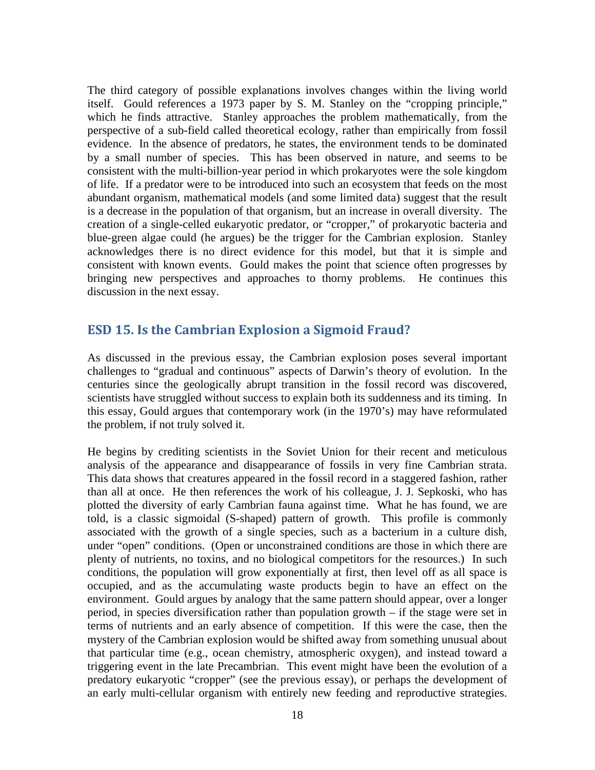The third category of possible explanations involves changes within the living world itself. Gould references a 1973 paper by S. M. Stanley on the "cropping principle," which he finds attractive. Stanley approaches the problem mathematically, from the perspective of a sub-field called theoretical ecology, rather than empirically from fossil evidence. In the absence of predators, he states, the environment tends to be dominated by a small number of species. This has been observed in nature, and seems to be consistent with the multi-billion-year period in which prokaryotes were the sole kingdom of life. If a predator were to be introduced into such an ecosystem that feeds on the most abundant organism, mathematical models (and some limited data) suggest that the result is a decrease in the population of that organism, but an increase in overall diversity. The creation of a single-celled eukaryotic predator, or "cropper," of prokaryotic bacteria and blue-green algae could (he argues) be the trigger for the Cambrian explosion. Stanley acknowledges there is no direct evidence for this model, but that it is simple and consistent with known events. Gould makes the point that science often progresses by bringing new perspectives and approaches to thorny problems. He continues this discussion in the next essay.

## <span id="page-17-0"></span>**ESD 15. Is the Cambrian Explosion a Sigmoid Fraud?**

As discussed in the previous essay, the Cambrian explosion poses several important challenges to "gradual and continuous" aspects of Darwin's theory of evolution. In the centuries since the geologically abrupt transition in the fossil record was discovered, scientists have struggled without success to explain both its suddenness and its timing. In this essay, Gould argues that contemporary work (in the 1970's) may have reformulated the problem, if not truly solved it.

He begins by crediting scientists in the Soviet Union for their recent and meticulous analysis of the appearance and disappearance of fossils in very fine Cambrian strata. This data shows that creatures appeared in the fossil record in a staggered fashion, rather than all at once. He then references the work of his colleague, J. J. Sepkoski, who has plotted the diversity of early Cambrian fauna against time. What he has found, we are told, is a classic sigmoidal (S-shaped) pattern of growth. This profile is commonly associated with the growth of a single species, such as a bacterium in a culture dish, under "open" conditions. (Open or unconstrained conditions are those in which there are plenty of nutrients, no toxins, and no biological competitors for the resources.) In such conditions, the population will grow exponentially at first, then level off as all space is occupied, and as the accumulating waste products begin to have an effect on the environment. Gould argues by analogy that the same pattern should appear, over a longer period, in species diversification rather than population growth – if the stage were set in terms of nutrients and an early absence of competition. If this were the case, then the mystery of the Cambrian explosion would be shifted away from something unusual about that particular time (e.g., ocean chemistry, atmospheric oxygen), and instead toward a triggering event in the late Precambrian. This event might have been the evolution of a predatory eukaryotic "cropper" (see the previous essay), or perhaps the development of an early multi-cellular organism with entirely new feeding and reproductive strategies.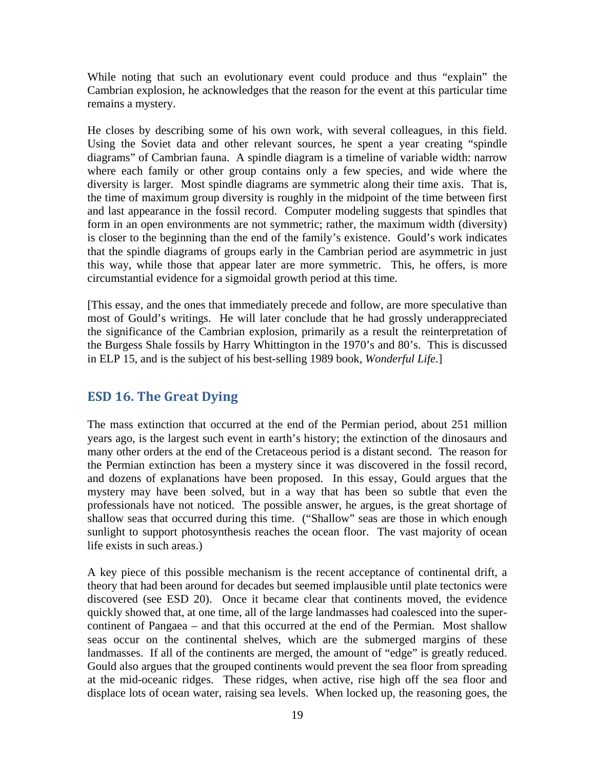While noting that such an evolutionary event could produce and thus "explain" the Cambrian explosion, he acknowledges that the reason for the event at this particular time remains a mystery.

He closes by describing some of his own work, with several colleagues, in this field. Using the Soviet data and other relevant sources, he spent a year creating "spindle diagrams" of Cambrian fauna. A spindle diagram is a timeline of variable width: narrow where each family or other group contains only a few species, and wide where the diversity is larger. Most spindle diagrams are symmetric along their time axis. That is, the time of maximum group diversity is roughly in the midpoint of the time between first and last appearance in the fossil record. Computer modeling suggests that spindles that form in an open environments are not symmetric; rather, the maximum width (diversity) is closer to the beginning than the end of the family's existence. Gould's work indicates that the spindle diagrams of groups early in the Cambrian period are asymmetric in just this way, while those that appear later are more symmetric. This, he offers, is more circumstantial evidence for a sigmoidal growth period at this time.

[This essay, and the ones that immediately precede and follow, are more speculative than most of Gould's writings. He will later conclude that he had grossly underappreciated the significance of the Cambrian explosion, primarily as a result the reinterpretation of the Burgess Shale fossils by Harry Whittington in the 1970's and 80's. This is discussed in ELP 15, and is the subject of his best-selling 1989 book, *Wonderful Life*.]

# <span id="page-18-0"></span>**ESD 16. The Great Dying**

The mass extinction that occurred at the end of the Permian period, about 251 million years ago, is the largest such event in earth's history; the extinction of the dinosaurs and many other orders at the end of the Cretaceous period is a distant second. The reason for the Permian extinction has been a mystery since it was discovered in the fossil record, and dozens of explanations have been proposed. In this essay, Gould argues that the mystery may have been solved, but in a way that has been so subtle that even the professionals have not noticed. The possible answer, he argues, is the great shortage of shallow seas that occurred during this time. ("Shallow" seas are those in which enough sunlight to support photosynthesis reaches the ocean floor. The vast majority of ocean life exists in such areas.)

A key piece of this possible mechanism is the recent acceptance of continental drift, a theory that had been around for decades but seemed implausible until plate tectonics were discovered (see ESD 20). Once it became clear that continents moved, the evidence quickly showed that, at one time, all of the large landmasses had coalesced into the supercontinent of Pangaea – and that this occurred at the end of the Permian. Most shallow seas occur on the continental shelves, which are the submerged margins of these landmasses. If all of the continents are merged, the amount of "edge" is greatly reduced. Gould also argues that the grouped continents would prevent the sea floor from spreading at the mid-oceanic ridges. These ridges, when active, rise high off the sea floor and displace lots of ocean water, raising sea levels. When locked up, the reasoning goes, the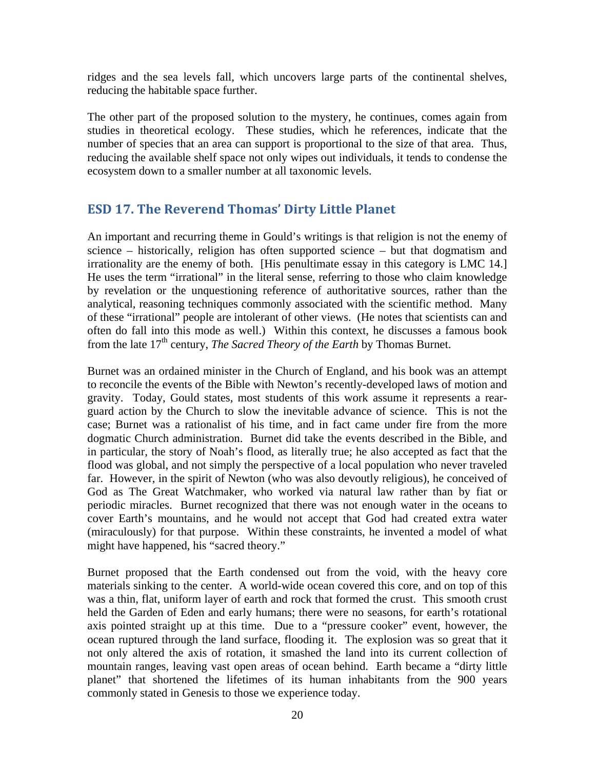ridges and the sea levels fall, which uncovers large parts of the continental shelves, reducing the habitable space further.

The other part of the proposed solution to the mystery, he continues, comes again from studies in theoretical ecology. These studies, which he references, indicate that the number of species that an area can support is proportional to the size of that area. Thus, reducing the available shelf space not only wipes out individuals, it tends to condense the ecosystem down to a smaller number at all taxonomic levels.

### <span id="page-19-0"></span>**ESD 17. The Reverend Thomas' Dirty Little Planet**

An important and recurring theme in Gould's writings is that religion is not the enemy of science – historically, religion has often supported science – but that dogmatism and irrationality are the enemy of both. [His penultimate essay in this category is LMC 14.] He uses the term "irrational" in the literal sense, referring to those who claim knowledge by revelation or the unquestioning reference of authoritative sources, rather than the analytical, reasoning techniques commonly associated with the scientific method. Many of these "irrational" people are intolerant of other views. (He notes that scientists can and often do fall into this mode as well.) Within this context, he discusses a famous book from the late 17<sup>th</sup> century, *The Sacred Theory of the Earth* by Thomas Burnet.

Burnet was an ordained minister in the Church of England, and his book was an attempt to reconcile the events of the Bible with Newton's recently-developed laws of motion and gravity. Today, Gould states, most students of this work assume it represents a rearguard action by the Church to slow the inevitable advance of science. This is not the case; Burnet was a rationalist of his time, and in fact came under fire from the more dogmatic Church administration. Burnet did take the events described in the Bible, and in particular, the story of Noah's flood, as literally true; he also accepted as fact that the flood was global, and not simply the perspective of a local population who never traveled far. However, in the spirit of Newton (who was also devoutly religious), he conceived of God as The Great Watchmaker, who worked via natural law rather than by fiat or periodic miracles. Burnet recognized that there was not enough water in the oceans to cover Earth's mountains, and he would not accept that God had created extra water (miraculously) for that purpose. Within these constraints, he invented a model of what might have happened, his "sacred theory."

Burnet proposed that the Earth condensed out from the void, with the heavy core materials sinking to the center. A world-wide ocean covered this core, and on top of this was a thin, flat, uniform layer of earth and rock that formed the crust. This smooth crust held the Garden of Eden and early humans; there were no seasons, for earth's rotational axis pointed straight up at this time. Due to a "pressure cooker" event, however, the ocean ruptured through the land surface, flooding it. The explosion was so great that it not only altered the axis of rotation, it smashed the land into its current collection of mountain ranges, leaving vast open areas of ocean behind. Earth became a "dirty little planet" that shortened the lifetimes of its human inhabitants from the 900 years commonly stated in Genesis to those we experience today.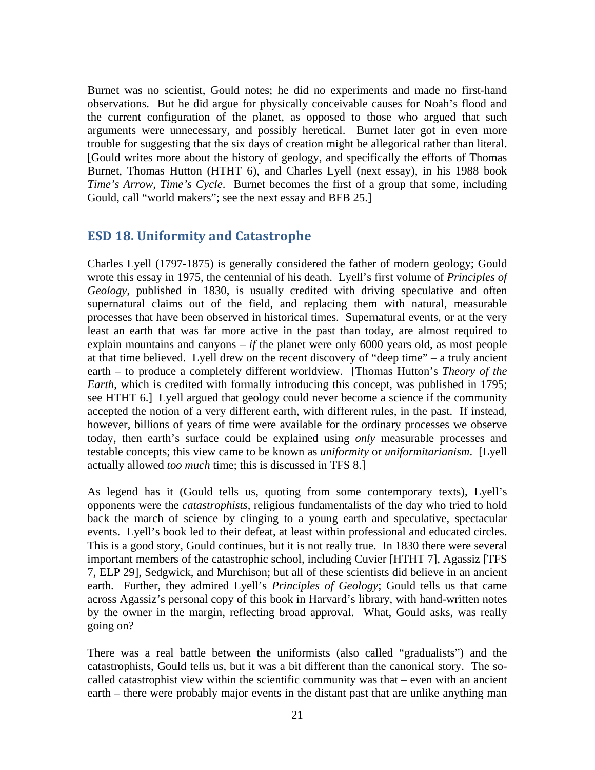Burnet was no scientist, Gould notes; he did no experiments and made no first-hand observations. But he did argue for physically conceivable causes for Noah's flood and the current configuration of the planet, as opposed to those who argued that such arguments were unnecessary, and possibly heretical. Burnet later got in even more trouble for suggesting that the six days of creation might be allegorical rather than literal. [Gould writes more about the history of geology, and specifically the efforts of Thomas Burnet, Thomas Hutton (HTHT 6), and Charles Lyell (next essay), in his 1988 book *Time's Arrow, Time's Cycle*. Burnet becomes the first of a group that some, including Gould, call "world makers"; see the next essay and BFB 25.]

## <span id="page-20-0"></span>**ESD 18. Uniformity and Catastrophe**

Charles Lyell (1797-1875) is generally considered the father of modern geology; Gould wrote this essay in 1975, the centennial of his death. Lyell's first volume of *Principles of Geology*, published in 1830, is usually credited with driving speculative and often supernatural claims out of the field, and replacing them with natural, measurable processes that have been observed in historical times. Supernatural events, or at the very least an earth that was far more active in the past than today, are almost required to explain mountains and canyons  $-i f$  the planet were only 6000 years old, as most people at that time believed. Lyell drew on the recent discovery of "deep time" – a truly ancient earth – to produce a completely different worldview. [Thomas Hutton's *Theory of the Earth*, which is credited with formally introducing this concept, was published in 1795; see HTHT 6.] Lyell argued that geology could never become a science if the community accepted the notion of a very different earth, with different rules, in the past. If instead, however, billions of years of time were available for the ordinary processes we observe today, then earth's surface could be explained using *only* measurable processes and testable concepts; this view came to be known as *uniformity* or *uniformitarianism*. [Lyell actually allowed *too much* time; this is discussed in TFS 8.]

As legend has it (Gould tells us, quoting from some contemporary texts), Lyell's opponents were the *catastrophists*, religious fundamentalists of the day who tried to hold back the march of science by clinging to a young earth and speculative, spectacular events. Lyell's book led to their defeat, at least within professional and educated circles. This is a good story, Gould continues, but it is not really true. In 1830 there were several important members of the catastrophic school, including Cuvier [HTHT 7], Agassiz [TFS 7, ELP 29], Sedgwick, and Murchison; but all of these scientists did believe in an ancient earth. Further, they admired Lyell's *Principles of Geology*; Gould tells us that came across Agassiz's personal copy of this book in Harvard's library, with hand-written notes by the owner in the margin, reflecting broad approval. What, Gould asks, was really going on?

There was a real battle between the uniformists (also called "gradualists") and the catastrophists, Gould tells us, but it was a bit different than the canonical story. The socalled catastrophist view within the scientific community was that – even with an ancient earth – there were probably major events in the distant past that are unlike anything man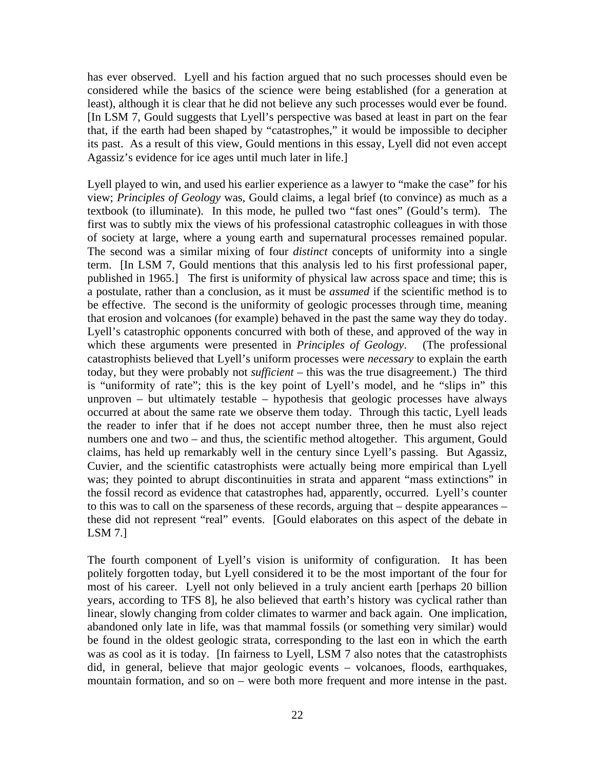has ever observed. Lyell and his faction argued that no such processes should even be considered while the basics of the science were being established (for a generation at least), although it is clear that he did not believe any such processes would ever be found. [In LSM 7, Gould suggests that Lyell's perspective was based at least in part on the fear that, if the earth had been shaped by "catastrophes," it would be impossible to decipher its past. As a result of this view, Gould mentions in this essay, Lyell did not even accept Agassiz's evidence for ice ages until much later in life.]

Lyell played to win, and used his earlier experience as a lawyer to "make the case" for his view; *Principles of Geology* was, Gould claims, a legal brief (to convince) as much as a textbook (to illuminate). In this mode, he pulled two "fast ones" (Gould's term). The first was to subtly mix the views of his professional catastrophic colleagues in with those of society at large, where a young earth and supernatural processes remained popular. The second was a similar mixing of four *distinct* concepts of uniformity into a single term. [In LSM 7, Gould mentions that this analysis led to his first professional paper, published in 1965.] The first is uniformity of physical law across space and time; this is a postulate, rather than a conclusion, as it must be *assumed* if the scientific method is to be effective. The second is the uniformity of geologic processes through time, meaning that erosion and volcanoes (for example) behaved in the past the same way they do today. Lyell's catastrophic opponents concurred with both of these, and approved of the way in which these arguments were presented in *Principles of Geology*. (The professional catastrophists believed that Lyell's uniform processes were *necessary* to explain the earth today, but they were probably not *sufficient* – this was the true disagreement.) The third is "uniformity of rate"; this is the key point of Lyell's model, and he "slips in" this unproven  $-$  but ultimately testable  $-$  hypothesis that geologic processes have always occurred at about the same rate we observe them today. Through this tactic, Lyell leads the reader to infer that if he does not accept number three, then he must also reject numbers one and two – and thus, the scientific method altogether. This argument, Gould claims, has held up remarkably well in the century since Lyell's passing. But Agassiz, Cuvier, and the scientific catastrophists were actually being more empirical than Lyell was; they pointed to abrupt discontinuities in strata and apparent "mass extinctions" in the fossil record as evidence that catastrophes had, apparently, occurred. Lyell's counter to this was to call on the sparseness of these records, arguing that – despite appearances – these did not represent "real" events. [Gould elaborates on this aspect of the debate in LSM 7.]

The fourth component of Lyell's vision is uniformity of configuration. It has been politely forgotten today, but Lyell considered it to be the most important of the four for most of his career. Lyell not only believed in a truly ancient earth [perhaps 20 billion years, according to TFS 8], he also believed that earth's history was cyclical rather than linear, slowly changing from colder climates to warmer and back again. One implication, abandoned only late in life, was that mammal fossils (or something very similar) would be found in the oldest geologic strata, corresponding to the last eon in which the earth was as cool as it is today. [In fairness to Lyell, LSM 7 also notes that the catastrophists did, in general, believe that major geologic events – volcanoes, floods, earthquakes, mountain formation, and so on – were both more frequent and more intense in the past.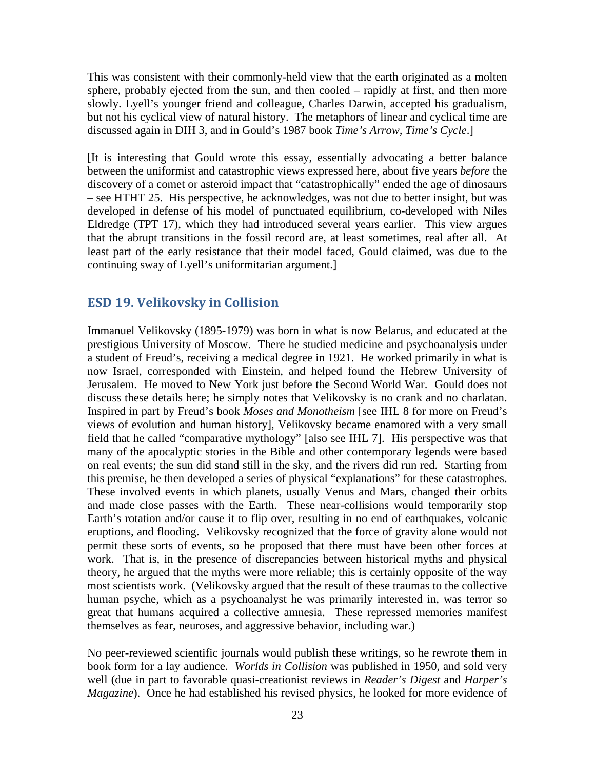This was consistent with their commonly-held view that the earth originated as a molten sphere, probably ejected from the sun, and then cooled – rapidly at first, and then more slowly. Lyell's younger friend and colleague, Charles Darwin, accepted his gradualism, but not his cyclical view of natural history. The metaphors of linear and cyclical time are discussed again in DIH 3, and in Gould's 1987 book *Time's Arrow, Time's Cycle*.]

[It is interesting that Gould wrote this essay, essentially advocating a better balance between the uniformist and catastrophic views expressed here, about five years *before* the discovery of a comet or asteroid impact that "catastrophically" ended the age of dinosaurs – see HTHT 25. His perspective, he acknowledges, was not due to better insight, but was developed in defense of his model of punctuated equilibrium, co-developed with Niles Eldredge (TPT 17), which they had introduced several years earlier. This view argues that the abrupt transitions in the fossil record are, at least sometimes, real after all. At least part of the early resistance that their model faced, Gould claimed, was due to the continuing sway of Lyell's uniformitarian argument.]

#### <span id="page-22-0"></span>**ESD 19. Velikovsky in Collision**

Immanuel Velikovsky (1895-1979) was born in what is now Belarus, and educated at the prestigious University of Moscow. There he studied medicine and psychoanalysis under a student of Freud's, receiving a medical degree in 1921. He worked primarily in what is now Israel, corresponded with Einstein, and helped found the Hebrew University of Jerusalem. He moved to New York just before the Second World War. Gould does not discuss these details here; he simply notes that Velikovsky is no crank and no charlatan. Inspired in part by Freud's book *Moses and Monotheism* [see IHL 8 for more on Freud's views of evolution and human history], Velikovsky became enamored with a very small field that he called "comparative mythology" [also see IHL 7]. His perspective was that many of the apocalyptic stories in the Bible and other contemporary legends were based on real events; the sun did stand still in the sky, and the rivers did run red. Starting from this premise, he then developed a series of physical "explanations" for these catastrophes. These involved events in which planets, usually Venus and Mars, changed their orbits and made close passes with the Earth. These near-collisions would temporarily stop Earth's rotation and/or cause it to flip over, resulting in no end of earthquakes, volcanic eruptions, and flooding. Velikovsky recognized that the force of gravity alone would not permit these sorts of events, so he proposed that there must have been other forces at work. That is, in the presence of discrepancies between historical myths and physical theory, he argued that the myths were more reliable; this is certainly opposite of the way most scientists work. (Velikovsky argued that the result of these traumas to the collective human psyche, which as a psychoanalyst he was primarily interested in, was terror so great that humans acquired a collective amnesia. These repressed memories manifest themselves as fear, neuroses, and aggressive behavior, including war.)

No peer-reviewed scientific journals would publish these writings, so he rewrote them in book form for a lay audience. *Worlds in Collision* was published in 1950, and sold very well (due in part to favorable quasi-creationist reviews in *Reader's Digest* and *Harper's Magazine*). Once he had established his revised physics, he looked for more evidence of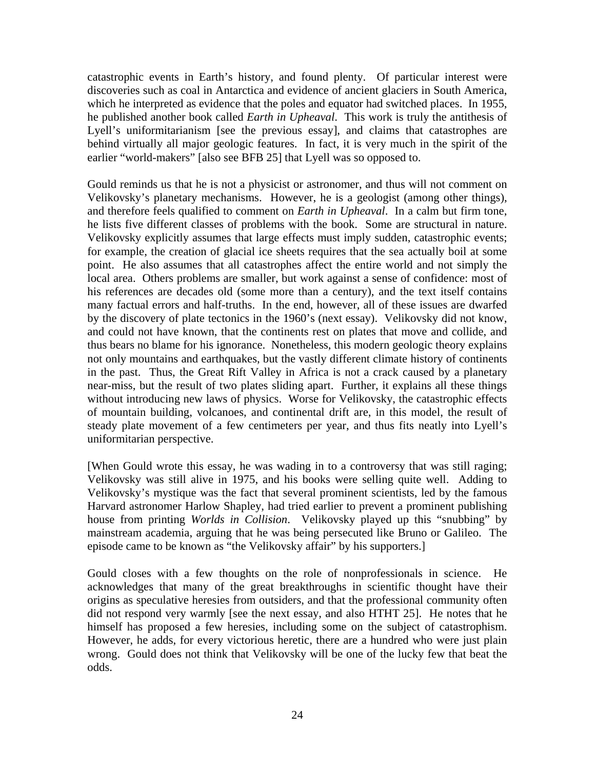catastrophic events in Earth's history, and found plenty. Of particular interest were discoveries such as coal in Antarctica and evidence of ancient glaciers in South America, which he interpreted as evidence that the poles and equator had switched places. In 1955, he published another book called *Earth in Upheaval*. This work is truly the antithesis of Lyell's uniformitarianism [see the previous essay], and claims that catastrophes are behind virtually all major geologic features. In fact, it is very much in the spirit of the earlier "world-makers" [also see BFB 25] that Lyell was so opposed to.

Gould reminds us that he is not a physicist or astronomer, and thus will not comment on Velikovsky's planetary mechanisms. However, he is a geologist (among other things), and therefore feels qualified to comment on *Earth in Upheaval*. In a calm but firm tone, he lists five different classes of problems with the book. Some are structural in nature. Velikovsky explicitly assumes that large effects must imply sudden, catastrophic events; for example, the creation of glacial ice sheets requires that the sea actually boil at some point. He also assumes that all catastrophes affect the entire world and not simply the local area. Others problems are smaller, but work against a sense of confidence: most of his references are decades old (some more than a century), and the text itself contains many factual errors and half-truths. In the end, however, all of these issues are dwarfed by the discovery of plate tectonics in the 1960's (next essay). Velikovsky did not know, and could not have known, that the continents rest on plates that move and collide, and thus bears no blame for his ignorance. Nonetheless, this modern geologic theory explains not only mountains and earthquakes, but the vastly different climate history of continents in the past. Thus, the Great Rift Valley in Africa is not a crack caused by a planetary near-miss, but the result of two plates sliding apart. Further, it explains all these things without introducing new laws of physics. Worse for Velikovsky, the catastrophic effects of mountain building, volcanoes, and continental drift are, in this model, the result of steady plate movement of a few centimeters per year, and thus fits neatly into Lyell's uniformitarian perspective.

[When Gould wrote this essay, he was wading in to a controversy that was still raging; Velikovsky was still alive in 1975, and his books were selling quite well. Adding to Velikovsky's mystique was the fact that several prominent scientists, led by the famous Harvard astronomer Harlow Shapley, had tried earlier to prevent a prominent publishing house from printing *Worlds in Collision*. Velikovsky played up this "snubbing" by mainstream academia, arguing that he was being persecuted like Bruno or Galileo. The episode came to be known as "the Velikovsky affair" by his supporters.]

Gould closes with a few thoughts on the role of nonprofessionals in science. He acknowledges that many of the great breakthroughs in scientific thought have their origins as speculative heresies from outsiders, and that the professional community often did not respond very warmly [see the next essay, and also HTHT 25]. He notes that he himself has proposed a few heresies, including some on the subject of catastrophism. However, he adds, for every victorious heretic, there are a hundred who were just plain wrong. Gould does not think that Velikovsky will be one of the lucky few that beat the odds.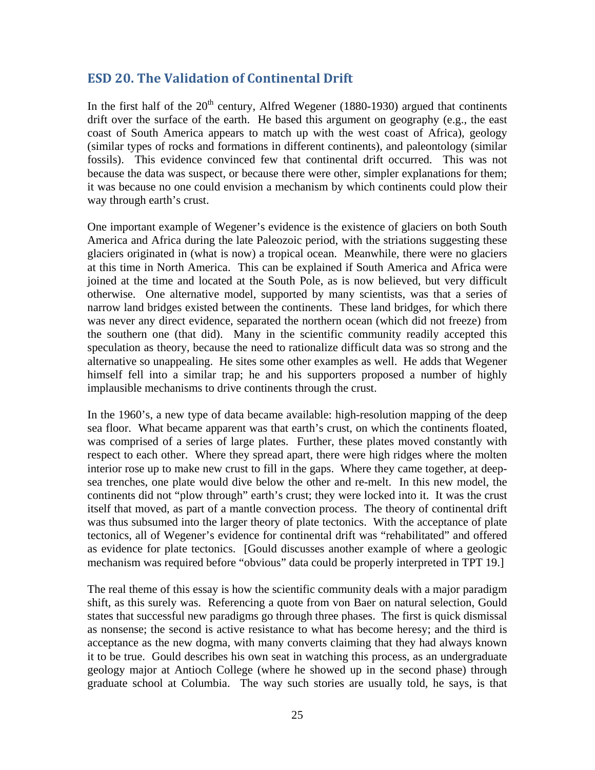# **ESD 20. The Validation of Continental Drift**

<span id="page-24-0"></span>In the first half of the  $20<sup>th</sup>$  century, Alfred Wegener (1880-1930) argued that continents drift over the surface of the earth. He based this argument on geography (e.g., the east coast of South America appears to match up with the west coast of Africa), geology (similar types of rocks and formations in different continents), and paleontology (similar fossils). This evidence convinced few that continental drift occurred. This was not because the data was suspect, or because there were other, simpler explanations for them; it was because no one could envision a mechanism by which continents could plow their way through earth's crust.

One important example of Wegener's evidence is the existence of glaciers on both South America and Africa during the late Paleozoic period, with the striations suggesting these glaciers originated in (what is now) a tropical ocean. Meanwhile, there were no glaciers at this time in North America. This can be explained if South America and Africa were joined at the time and located at the South Pole, as is now believed, but very difficult otherwise. One alternative model, supported by many scientists, was that a series of narrow land bridges existed between the continents. These land bridges, for which there was never any direct evidence, separated the northern ocean (which did not freeze) from the southern one (that did). Many in the scientific community readily accepted this speculation as theory, because the need to rationalize difficult data was so strong and the alternative so unappealing. He sites some other examples as well. He adds that Wegener himself fell into a similar trap; he and his supporters proposed a number of highly implausible mechanisms to drive continents through the crust.

In the 1960's, a new type of data became available: high-resolution mapping of the deep sea floor. What became apparent was that earth's crust, on which the continents floated, was comprised of a series of large plates. Further, these plates moved constantly with respect to each other. Where they spread apart, there were high ridges where the molten interior rose up to make new crust to fill in the gaps. Where they came together, at deepsea trenches, one plate would dive below the other and re-melt. In this new model, the continents did not "plow through" earth's crust; they were locked into it. It was the crust itself that moved, as part of a mantle convection process. The theory of continental drift was thus subsumed into the larger theory of plate tectonics. With the acceptance of plate tectonics, all of Wegener's evidence for continental drift was "rehabilitated" and offered as evidence for plate tectonics. [Gould discusses another example of where a geologic mechanism was required before "obvious" data could be properly interpreted in TPT 19.]

The real theme of this essay is how the scientific community deals with a major paradigm shift, as this surely was. Referencing a quote from von Baer on natural selection, Gould states that successful new paradigms go through three phases. The first is quick dismissal as nonsense; the second is active resistance to what has become heresy; and the third is acceptance as the new dogma, with many converts claiming that they had always known it to be true. Gould describes his own seat in watching this process, as an undergraduate geology major at Antioch College (where he showed up in the second phase) through graduate school at Columbia. The way such stories are usually told, he says, is that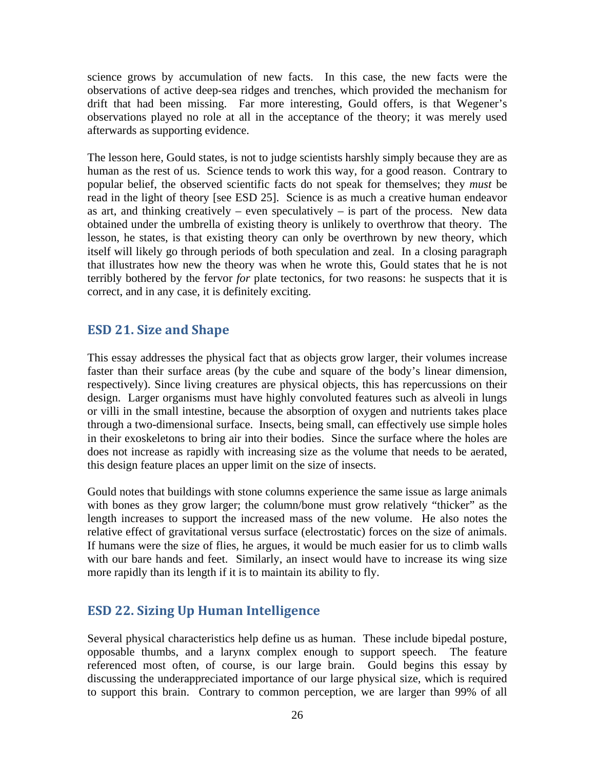science grows by accumulation of new facts. In this case, the new facts were the observations of active deep-sea ridges and trenches, which provided the mechanism for drift that had been missing. Far more interesting, Gould offers, is that Wegener's observations played no role at all in the acceptance of the theory; it was merely used afterwards as supporting evidence.

The lesson here, Gould states, is not to judge scientists harshly simply because they are as human as the rest of us. Science tends to work this way, for a good reason. Contrary to popular belief, the observed scientific facts do not speak for themselves; they *must* be read in the light of theory [see ESD 25]. Science is as much a creative human endeavor as art, and thinking creatively – even speculatively – is part of the process. New data obtained under the umbrella of existing theory is unlikely to overthrow that theory. The lesson, he states, is that existing theory can only be overthrown by new theory, which itself will likely go through periods of both speculation and zeal. In a closing paragraph that illustrates how new the theory was when he wrote this, Gould states that he is not terribly bothered by the fervor *for* plate tectonics, for two reasons: he suspects that it is correct, and in any case, it is definitely exciting.

### <span id="page-25-0"></span>**ESD 21. Size and Shape**

This essay addresses the physical fact that as objects grow larger, their volumes increase faster than their surface areas (by the cube and square of the body's linear dimension, respectively). Since living creatures are physical objects, this has repercussions on their design. Larger organisms must have highly convoluted features such as alveoli in lungs or villi in the small intestine, because the absorption of oxygen and nutrients takes place through a two-dimensional surface. Insects, being small, can effectively use simple holes in their exoskeletons to bring air into their bodies. Since the surface where the holes are does not increase as rapidly with increasing size as the volume that needs to be aerated, this design feature places an upper limit on the size of insects.

Gould notes that buildings with stone columns experience the same issue as large animals with bones as they grow larger; the column/bone must grow relatively "thicker" as the length increases to support the increased mass of the new volume. He also notes the relative effect of gravitational versus surface (electrostatic) forces on the size of animals. If humans were the size of flies, he argues, it would be much easier for us to climb walls with our bare hands and feet. Similarly, an insect would have to increase its wing size more rapidly than its length if it is to maintain its ability to fly.

## <span id="page-25-1"></span>**ESD 22. Sizing Up Human Intelligence**

Several physical characteristics help define us as human. These include bipedal posture, opposable thumbs, and a larynx complex enough to support speech. The feature referenced most often, of course, is our large brain. Gould begins this essay by discussing the underappreciated importance of our large physical size, which is required to support this brain. Contrary to common perception, we are larger than 99% of all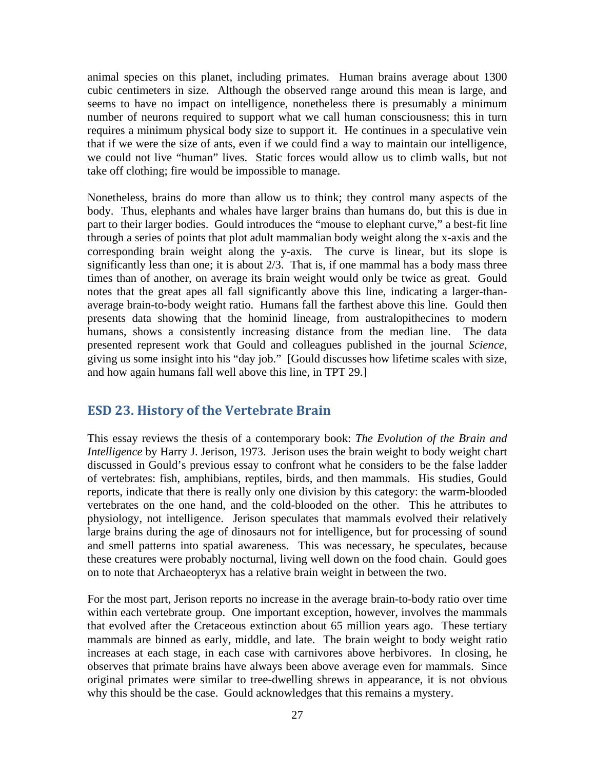animal species on this planet, including primates. Human brains average about 1300 cubic centimeters in size. Although the observed range around this mean is large, and seems to have no impact on intelligence, nonetheless there is presumably a minimum number of neurons required to support what we call human consciousness; this in turn requires a minimum physical body size to support it. He continues in a speculative vein that if we were the size of ants, even if we could find a way to maintain our intelligence, we could not live "human" lives. Static forces would allow us to climb walls, but not take off clothing; fire would be impossible to manage.

Nonetheless, brains do more than allow us to think; they control many aspects of the body. Thus, elephants and whales have larger brains than humans do, but this is due in part to their larger bodies. Gould introduces the "mouse to elephant curve," a best-fit line through a series of points that plot adult mammalian body weight along the x-axis and the corresponding brain weight along the y-axis. The curve is linear, but its slope is significantly less than one; it is about 2/3. That is, if one mammal has a body mass three times than of another, on average its brain weight would only be twice as great. Gould notes that the great apes all fall significantly above this line, indicating a larger-thanaverage brain-to-body weight ratio. Humans fall the farthest above this line. Gould then presents data showing that the hominid lineage, from australopithecines to modern humans, shows a consistently increasing distance from the median line. The data presented represent work that Gould and colleagues published in the journal *Science*, giving us some insight into his "day job." [Gould discusses how lifetime scales with size, and how again humans fall well above this line, in TPT 29.]

## <span id="page-26-0"></span>**ESD 23. History of the Vertebrate Brain**

This essay reviews the thesis of a contemporary book: *The Evolution of the Brain and Intelligence* by Harry J. Jerison, 1973. Jerison uses the brain weight to body weight chart discussed in Gould's previous essay to confront what he considers to be the false ladder of vertebrates: fish, amphibians, reptiles, birds, and then mammals. His studies, Gould reports, indicate that there is really only one division by this category: the warm-blooded vertebrates on the one hand, and the cold-blooded on the other. This he attributes to physiology, not intelligence. Jerison speculates that mammals evolved their relatively large brains during the age of dinosaurs not for intelligence, but for processing of sound and smell patterns into spatial awareness. This was necessary, he speculates, because these creatures were probably nocturnal, living well down on the food chain. Gould goes on to note that Archaeopteryx has a relative brain weight in between the two.

For the most part, Jerison reports no increase in the average brain-to-body ratio over time within each vertebrate group. One important exception, however, involves the mammals that evolved after the Cretaceous extinction about 65 million years ago. These tertiary mammals are binned as early, middle, and late. The brain weight to body weight ratio increases at each stage, in each case with carnivores above herbivores. In closing, he observes that primate brains have always been above average even for mammals. Since original primates were similar to tree-dwelling shrews in appearance, it is not obvious why this should be the case. Gould acknowledges that this remains a mystery.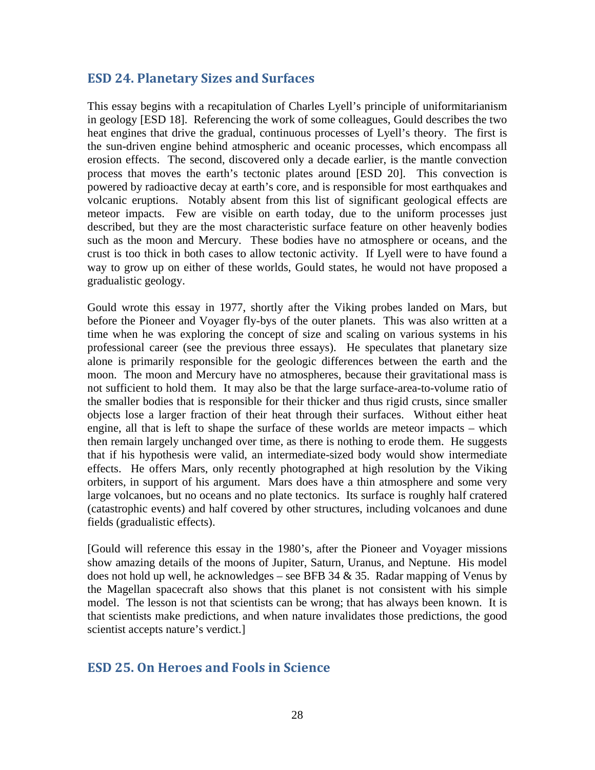### **ESD 24. Planetary Sizes and Surfaces**

<span id="page-27-0"></span>This essay begins with a recapitulation of Charles Lyell's principle of uniformitarianism in geology [ESD 18]. Referencing the work of some colleagues, Gould describes the two heat engines that drive the gradual, continuous processes of Lyell's theory. The first is the sun-driven engine behind atmospheric and oceanic processes, which encompass all erosion effects. The second, discovered only a decade earlier, is the mantle convection process that moves the earth's tectonic plates around [ESD 20]. This convection is powered by radioactive decay at earth's core, and is responsible for most earthquakes and volcanic eruptions. Notably absent from this list of significant geological effects are meteor impacts. Few are visible on earth today, due to the uniform processes just described, but they are the most characteristic surface feature on other heavenly bodies such as the moon and Mercury. These bodies have no atmosphere or oceans, and the crust is too thick in both cases to allow tectonic activity. If Lyell were to have found a way to grow up on either of these worlds, Gould states, he would not have proposed a gradualistic geology.

Gould wrote this essay in 1977, shortly after the Viking probes landed on Mars, but before the Pioneer and Voyager fly-bys of the outer planets. This was also written at a time when he was exploring the concept of size and scaling on various systems in his professional career (see the previous three essays). He speculates that planetary size alone is primarily responsible for the geologic differences between the earth and the moon. The moon and Mercury have no atmospheres, because their gravitational mass is not sufficient to hold them. It may also be that the large surface-area-to-volume ratio of the smaller bodies that is responsible for their thicker and thus rigid crusts, since smaller objects lose a larger fraction of their heat through their surfaces. Without either heat engine, all that is left to shape the surface of these worlds are meteor impacts – which then remain largely unchanged over time, as there is nothing to erode them. He suggests that if his hypothesis were valid, an intermediate-sized body would show intermediate effects. He offers Mars, only recently photographed at high resolution by the Viking orbiters, in support of his argument. Mars does have a thin atmosphere and some very large volcanoes, but no oceans and no plate tectonics. Its surface is roughly half cratered (catastrophic events) and half covered by other structures, including volcanoes and dune fields (gradualistic effects).

[Gould will reference this essay in the 1980's, after the Pioneer and Voyager missions show amazing details of the moons of Jupiter, Saturn, Uranus, and Neptune. His model does not hold up well, he acknowledges – see BFB 34  $&$  35. Radar mapping of Venus by the Magellan spacecraft also shows that this planet is not consistent with his simple model. The lesson is not that scientists can be wrong; that has always been known. It is that scientists make predictions, and when nature invalidates those predictions, the good scientist accepts nature's verdict.]

## <span id="page-27-1"></span>**ESD 25. On Heroes and Fools in Science**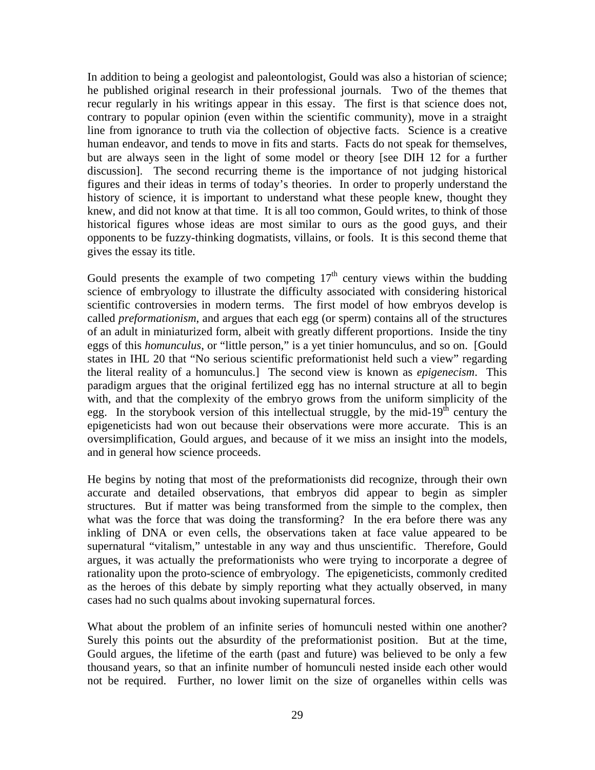In addition to being a geologist and paleontologist, Gould was also a historian of science; he published original research in their professional journals. Two of the themes that recur regularly in his writings appear in this essay. The first is that science does not, contrary to popular opinion (even within the scientific community), move in a straight line from ignorance to truth via the collection of objective facts. Science is a creative human endeavor, and tends to move in fits and starts. Facts do not speak for themselves, but are always seen in the light of some model or theory [see DIH 12 for a further discussion]. The second recurring theme is the importance of not judging historical figures and their ideas in terms of today's theories. In order to properly understand the history of science, it is important to understand what these people knew, thought they knew, and did not know at that time. It is all too common, Gould writes, to think of those historical figures whose ideas are most similar to ours as the good guys, and their opponents to be fuzzy-thinking dogmatists, villains, or fools. It is this second theme that gives the essay its title.

Gould presents the example of two competing  $17<sup>th</sup>$  century views within the budding science of embryology to illustrate the difficulty associated with considering historical scientific controversies in modern terms. The first model of how embryos develop is called *preformationism*, and argues that each egg (or sperm) contains all of the structures of an adult in miniaturized form, albeit with greatly different proportions. Inside the tiny eggs of this *homunculus*, or "little person," is a yet tinier homunculus, and so on. [Gould states in IHL 20 that "No serious scientific preformationist held such a view" regarding the literal reality of a homunculus.] The second view is known as *epigenecism*. This paradigm argues that the original fertilized egg has no internal structure at all to begin with, and that the complexity of the embryo grows from the uniform simplicity of the egg. In the storybook version of this intellectual struggle, by the mid-19<sup>th</sup> century the epigeneticists had won out because their observations were more accurate. This is an oversimplification, Gould argues, and because of it we miss an insight into the models, and in general how science proceeds.

He begins by noting that most of the preformationists did recognize, through their own accurate and detailed observations, that embryos did appear to begin as simpler structures. But if matter was being transformed from the simple to the complex, then what was the force that was doing the transforming? In the era before there was any inkling of DNA or even cells, the observations taken at face value appeared to be supernatural "vitalism," untestable in any way and thus unscientific. Therefore, Gould argues, it was actually the preformationists who were trying to incorporate a degree of rationality upon the proto-science of embryology. The epigeneticists, commonly credited as the heroes of this debate by simply reporting what they actually observed, in many cases had no such qualms about invoking supernatural forces.

What about the problem of an infinite series of homunculi nested within one another? Surely this points out the absurdity of the preformationist position. But at the time, Gould argues, the lifetime of the earth (past and future) was believed to be only a few thousand years, so that an infinite number of homunculi nested inside each other would not be required. Further, no lower limit on the size of organelles within cells was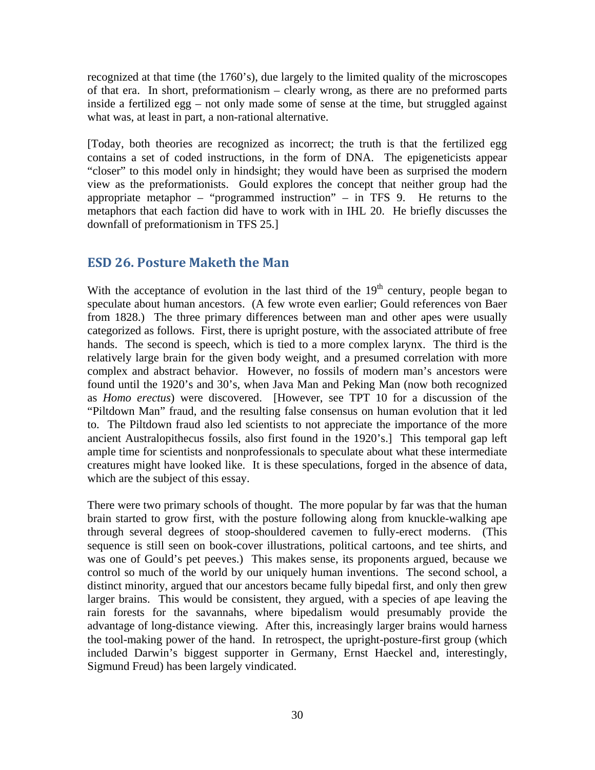recognized at that time (the 1760's), due largely to the limited quality of the microscopes of that era. In short, preformationism – clearly wrong, as there are no preformed parts inside a fertilized egg – not only made some of sense at the time, but struggled against what was, at least in part, a non-rational alternative.

[Today, both theories are recognized as incorrect; the truth is that the fertilized egg contains a set of coded instructions, in the form of DNA. The epigeneticists appear "closer" to this model only in hindsight; they would have been as surprised the modern view as the preformationists. Gould explores the concept that neither group had the appropriate metaphor – "programmed instruction" – in TFS 9. He returns to the metaphors that each faction did have to work with in IHL 20. He briefly discusses the downfall of preformationism in TFS 25.]

### <span id="page-29-0"></span>**ESD 26. Posture Maketh the Man**

With the acceptance of evolution in the last third of the  $19<sup>th</sup>$  century, people began to speculate about human ancestors. (A few wrote even earlier; Gould references von Baer from 1828.) The three primary differences between man and other apes were usually categorized as follows. First, there is upright posture, with the associated attribute of free hands. The second is speech, which is tied to a more complex larynx. The third is the relatively large brain for the given body weight, and a presumed correlation with more complex and abstract behavior. However, no fossils of modern man's ancestors were found until the 1920's and 30's, when Java Man and Peking Man (now both recognized as *Homo erectus*) were discovered. [However, see TPT 10 for a discussion of the "Piltdown Man" fraud, and the resulting false consensus on human evolution that it led to. The Piltdown fraud also led scientists to not appreciate the importance of the more ancient Australopithecus fossils, also first found in the 1920's.] This temporal gap left ample time for scientists and nonprofessionals to speculate about what these intermediate creatures might have looked like. It is these speculations, forged in the absence of data, which are the subject of this essay.

There were two primary schools of thought. The more popular by far was that the human brain started to grow first, with the posture following along from knuckle-walking ape through several degrees of stoop-shouldered cavemen to fully-erect moderns. (This sequence is still seen on book-cover illustrations, political cartoons, and tee shirts, and was one of Gould's pet peeves.) This makes sense, its proponents argued, because we control so much of the world by our uniquely human inventions. The second school, a distinct minority, argued that our ancestors became fully bipedal first, and only then grew larger brains. This would be consistent, they argued, with a species of ape leaving the rain forests for the savannahs, where bipedalism would presumably provide the advantage of long-distance viewing. After this, increasingly larger brains would harness the tool-making power of the hand. In retrospect, the upright-posture-first group (which included Darwin's biggest supporter in Germany, Ernst Haeckel and, interestingly, Sigmund Freud) has been largely vindicated.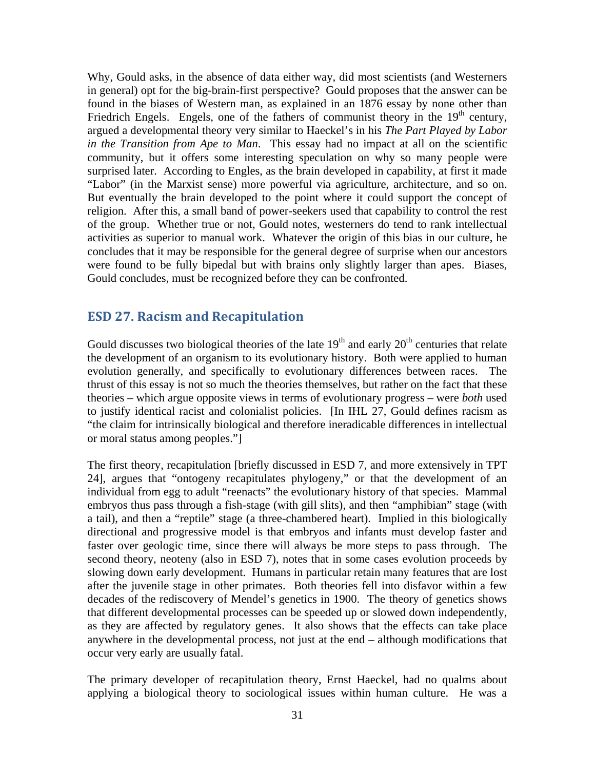Why, Gould asks, in the absence of data either way, did most scientists (and Westerners in general) opt for the big-brain-first perspective? Gould proposes that the answer can be found in the biases of Western man, as explained in an 1876 essay by none other than Friedrich Engels. Engels, one of the fathers of communist theory in the  $19<sup>th</sup>$  century, argued a developmental theory very similar to Haeckel's in his *The Part Played by Labor in the Transition from Ape to Man*. This essay had no impact at all on the scientific community, but it offers some interesting speculation on why so many people were surprised later. According to Engles, as the brain developed in capability, at first it made "Labor" (in the Marxist sense) more powerful via agriculture, architecture, and so on. But eventually the brain developed to the point where it could support the concept of religion. After this, a small band of power-seekers used that capability to control the rest of the group. Whether true or not, Gould notes, westerners do tend to rank intellectual activities as superior to manual work. Whatever the origin of this bias in our culture, he concludes that it may be responsible for the general degree of surprise when our ancestors were found to be fully bipedal but with brains only slightly larger than apes. Biases, Gould concludes, must be recognized before they can be confronted.

#### <span id="page-30-0"></span>**ESD 27. Racism and Recapitulation**

Gould discusses two biological theories of the late  $19<sup>th</sup>$  and early  $20<sup>th</sup>$  centuries that relate the development of an organism to its evolutionary history. Both were applied to human evolution generally, and specifically to evolutionary differences between races. The thrust of this essay is not so much the theories themselves, but rather on the fact that these theories – which argue opposite views in terms of evolutionary progress – were *both* used to justify identical racist and colonialist policies. [In IHL 27, Gould defines racism as "the claim for intrinsically biological and therefore ineradicable differences in intellectual or moral status among peoples."]

The first theory, recapitulation [briefly discussed in ESD 7, and more extensively in TPT 24], argues that "ontogeny recapitulates phylogeny," or that the development of an individual from egg to adult "reenacts" the evolutionary history of that species. Mammal embryos thus pass through a fish-stage (with gill slits), and then "amphibian" stage (with a tail), and then a "reptile" stage (a three-chambered heart). Implied in this biologically directional and progressive model is that embryos and infants must develop faster and faster over geologic time, since there will always be more steps to pass through. The second theory, neoteny (also in ESD 7), notes that in some cases evolution proceeds by slowing down early development. Humans in particular retain many features that are lost after the juvenile stage in other primates. Both theories fell into disfavor within a few decades of the rediscovery of Mendel's genetics in 1900. The theory of genetics shows that different developmental processes can be speeded up or slowed down independently, as they are affected by regulatory genes. It also shows that the effects can take place anywhere in the developmental process, not just at the end – although modifications that occur very early are usually fatal.

The primary developer of recapitulation theory, Ernst Haeckel, had no qualms about applying a biological theory to sociological issues within human culture. He was a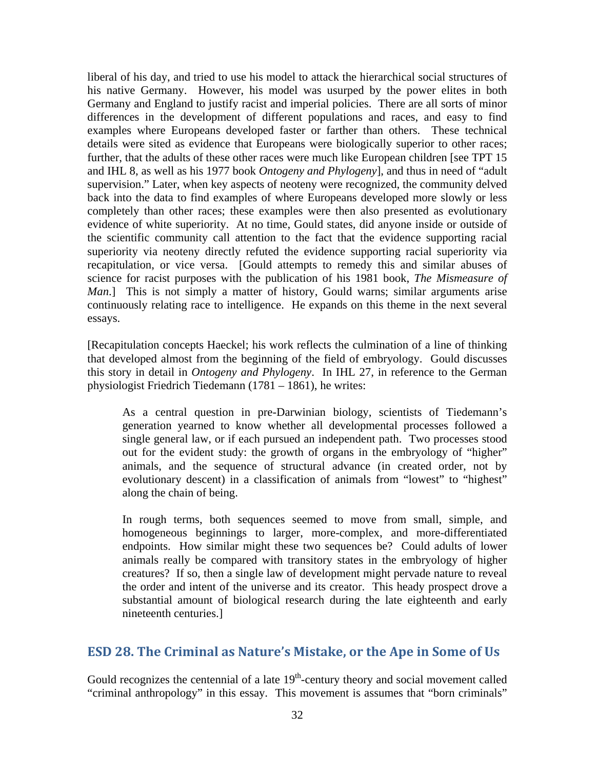liberal of his day, and tried to use his model to attack the hierarchical social structures of his native Germany. However, his model was usurped by the power elites in both Germany and England to justify racist and imperial policies. There are all sorts of minor differences in the development of different populations and races, and easy to find examples where Europeans developed faster or farther than others. These technical details were sited as evidence that Europeans were biologically superior to other races; further, that the adults of these other races were much like European children [see TPT 15 and IHL 8, as well as his 1977 book *Ontogeny and Phylogeny*], and thus in need of "adult supervision." Later, when key aspects of neoteny were recognized, the community delved back into the data to find examples of where Europeans developed more slowly or less completely than other races; these examples were then also presented as evolutionary evidence of white superiority. At no time, Gould states, did anyone inside or outside of the scientific community call attention to the fact that the evidence supporting racial superiority via neoteny directly refuted the evidence supporting racial superiority via recapitulation, or vice versa. [Gould attempts to remedy this and similar abuses of science for racist purposes with the publication of his 1981 book, *The Mismeasure of Man*.] This is not simply a matter of history, Gould warns; similar arguments arise continuously relating race to intelligence. He expands on this theme in the next several essays.

[Recapitulation concepts Haeckel; his work reflects the culmination of a line of thinking that developed almost from the beginning of the field of embryology. Gould discusses this story in detail in *Ontogeny and Phylogeny*. In IHL 27, in reference to the German physiologist Friedrich Tiedemann (1781 – 1861), he writes:

As a central question in pre-Darwinian biology, scientists of Tiedemann's generation yearned to know whether all developmental processes followed a single general law, or if each pursued an independent path. Two processes stood out for the evident study: the growth of organs in the embryology of "higher" animals, and the sequence of structural advance (in created order, not by evolutionary descent) in a classification of animals from "lowest" to "highest" along the chain of being.

In rough terms, both sequences seemed to move from small, simple, and homogeneous beginnings to larger, more-complex, and more-differentiated endpoints. How similar might these two sequences be? Could adults of lower animals really be compared with transitory states in the embryology of higher creatures? If so, then a single law of development might pervade nature to reveal the order and intent of the universe and its creator. This heady prospect drove a substantial amount of biological research during the late eighteenth and early nineteenth centuries.]

#### <span id="page-31-0"></span>**ESD 28. The Criminal as Nature's Mistake, or the Ape in Some of Us**

Gould recognizes the centennial of a late  $19<sup>th</sup>$ -century theory and social movement called "criminal anthropology" in this essay. This movement is assumes that "born criminals"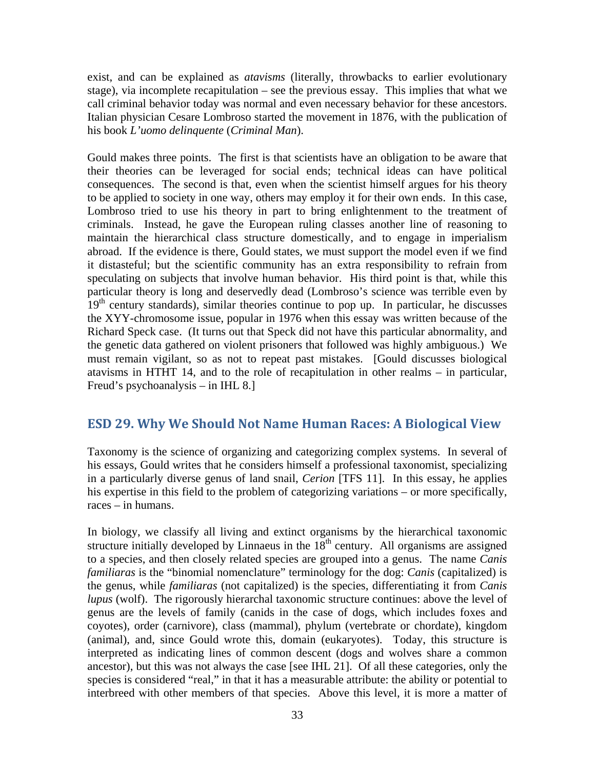exist, and can be explained as *atavisms* (literally, throwbacks to earlier evolutionary stage), via incomplete recapitulation – see the previous essay. This implies that what we call criminal behavior today was normal and even necessary behavior for these ancestors. Italian physician Cesare Lombroso started the movement in 1876, with the publication of his book *L'uomo delinquente* (*Criminal Man*).

Gould makes three points. The first is that scientists have an obligation to be aware that their theories can be leveraged for social ends; technical ideas can have political consequences. The second is that, even when the scientist himself argues for his theory to be applied to society in one way, others may employ it for their own ends. In this case, Lombroso tried to use his theory in part to bring enlightenment to the treatment of criminals. Instead, he gave the European ruling classes another line of reasoning to maintain the hierarchical class structure domestically, and to engage in imperialism abroad. If the evidence is there, Gould states, we must support the model even if we find it distasteful; but the scientific community has an extra responsibility to refrain from speculating on subjects that involve human behavior. His third point is that, while this particular theory is long and deservedly dead (Lombroso's science was terrible even by  $19<sup>th</sup>$  century standards), similar theories continue to pop up. In particular, he discusses the XYY-chromosome issue, popular in 1976 when this essay was written because of the Richard Speck case. (It turns out that Speck did not have this particular abnormality, and the genetic data gathered on violent prisoners that followed was highly ambiguous.) We must remain vigilant, so as not to repeat past mistakes. [Gould discusses biological atavisms in HTHT 14, and to the role of recapitulation in other realms – in particular, Freud's psychoanalysis – in IHL 8.]

### <span id="page-32-0"></span>**ESD 29. Why We Should Not Name Human Races: A Biological View**

Taxonomy is the science of organizing and categorizing complex systems. In several of his essays, Gould writes that he considers himself a professional taxonomist, specializing in a particularly diverse genus of land snail, *Cerion* [TFS 11]. In this essay, he applies his expertise in this field to the problem of categorizing variations – or more specifically, races – in humans.

In biology, we classify all living and extinct organisms by the hierarchical taxonomic structure initially developed by Linnaeus in the  $18<sup>th</sup>$  century. All organisms are assigned to a species, and then closely related species are grouped into a genus. The name *Canis familiaras* is the "binomial nomenclature" terminology for the dog: *Canis* (capitalized) is the genus, while *familiaras* (not capitalized) is the species, differentiating it from *Canis lupus* (wolf). The rigorously hierarchal taxonomic structure continues: above the level of genus are the levels of family (canids in the case of dogs, which includes foxes and coyotes), order (carnivore), class (mammal), phylum (vertebrate or chordate), kingdom (animal), and, since Gould wrote this, domain (eukaryotes). Today, this structure is interpreted as indicating lines of common descent (dogs and wolves share a common ancestor), but this was not always the case [see IHL 21]. Of all these categories, only the species is considered "real," in that it has a measurable attribute: the ability or potential to interbreed with other members of that species. Above this level, it is more a matter of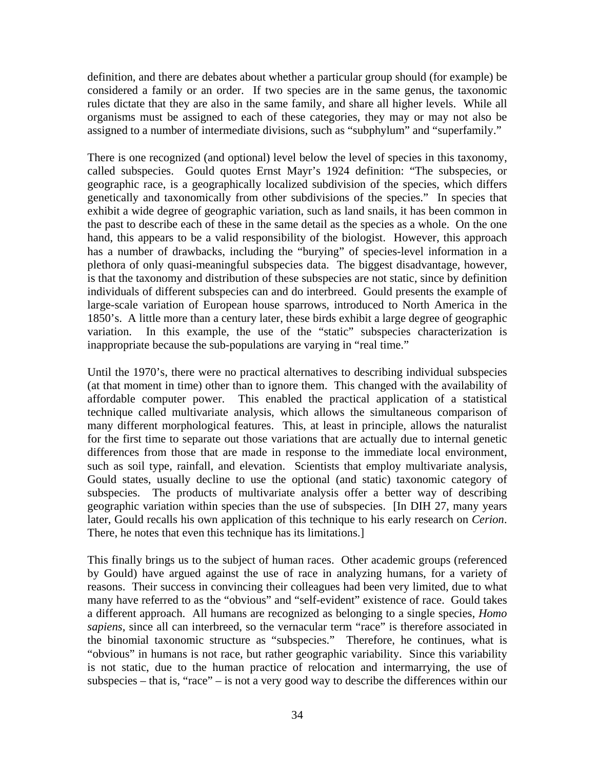definition, and there are debates about whether a particular group should (for example) be considered a family or an order. If two species are in the same genus, the taxonomic rules dictate that they are also in the same family, and share all higher levels. While all organisms must be assigned to each of these categories, they may or may not also be assigned to a number of intermediate divisions, such as "subphylum" and "superfamily."

There is one recognized (and optional) level below the level of species in this taxonomy, called subspecies. Gould quotes Ernst Mayr's 1924 definition: "The subspecies, or geographic race, is a geographically localized subdivision of the species, which differs genetically and taxonomically from other subdivisions of the species." In species that exhibit a wide degree of geographic variation, such as land snails, it has been common in the past to describe each of these in the same detail as the species as a whole. On the one hand, this appears to be a valid responsibility of the biologist. However, this approach has a number of drawbacks, including the "burying" of species-level information in a plethora of only quasi-meaningful subspecies data. The biggest disadvantage, however, is that the taxonomy and distribution of these subspecies are not static, since by definition individuals of different subspecies can and do interbreed. Gould presents the example of large-scale variation of European house sparrows, introduced to North America in the 1850's. A little more than a century later, these birds exhibit a large degree of geographic variation. In this example, the use of the "static" subspecies characterization is inappropriate because the sub-populations are varying in "real time."

Until the 1970's, there were no practical alternatives to describing individual subspecies (at that moment in time) other than to ignore them. This changed with the availability of affordable computer power. This enabled the practical application of a statistical technique called multivariate analysis, which allows the simultaneous comparison of many different morphological features. This, at least in principle, allows the naturalist for the first time to separate out those variations that are actually due to internal genetic differences from those that are made in response to the immediate local environment, such as soil type, rainfall, and elevation. Scientists that employ multivariate analysis, Gould states, usually decline to use the optional (and static) taxonomic category of subspecies. The products of multivariate analysis offer a better way of describing geographic variation within species than the use of subspecies. [In DIH 27, many years later, Gould recalls his own application of this technique to his early research on *Cerion*. There, he notes that even this technique has its limitations.]

This finally brings us to the subject of human races. Other academic groups (referenced by Gould) have argued against the use of race in analyzing humans, for a variety of reasons. Their success in convincing their colleagues had been very limited, due to what many have referred to as the "obvious" and "self-evident" existence of race. Gould takes a different approach. All humans are recognized as belonging to a single species, *Homo sapiens*, since all can interbreed, so the vernacular term "race" is therefore associated in the binomial taxonomic structure as "subspecies." Therefore, he continues, what is "obvious" in humans is not race, but rather geographic variability. Since this variability is not static, due to the human practice of relocation and intermarrying, the use of subspecies – that is, "race" – is not a very good way to describe the differences within our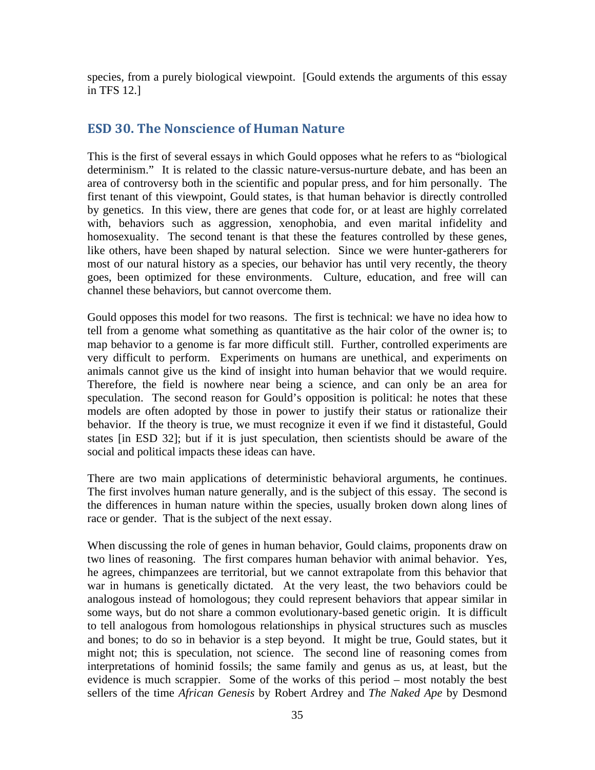species, from a purely biological viewpoint. [Gould extends the arguments of this essay in TFS 12.]

#### <span id="page-34-0"></span>**ESD 30. The Nonscience of Human Nature**

This is the first of several essays in which Gould opposes what he refers to as "biological determinism." It is related to the classic nature-versus-nurture debate, and has been an area of controversy both in the scientific and popular press, and for him personally. The first tenant of this viewpoint, Gould states, is that human behavior is directly controlled by genetics. In this view, there are genes that code for, or at least are highly correlated with, behaviors such as aggression, xenophobia, and even marital infidelity and homosexuality. The second tenant is that these the features controlled by these genes, like others, have been shaped by natural selection. Since we were hunter-gatherers for most of our natural history as a species, our behavior has until very recently, the theory goes, been optimized for these environments. Culture, education, and free will can channel these behaviors, but cannot overcome them.

Gould opposes this model for two reasons. The first is technical: we have no idea how to tell from a genome what something as quantitative as the hair color of the owner is; to map behavior to a genome is far more difficult still. Further, controlled experiments are very difficult to perform. Experiments on humans are unethical, and experiments on animals cannot give us the kind of insight into human behavior that we would require. Therefore, the field is nowhere near being a science, and can only be an area for speculation. The second reason for Gould's opposition is political: he notes that these models are often adopted by those in power to justify their status or rationalize their behavior. If the theory is true, we must recognize it even if we find it distasteful, Gould states [in ESD 32]; but if it is just speculation, then scientists should be aware of the social and political impacts these ideas can have.

There are two main applications of deterministic behavioral arguments, he continues. The first involves human nature generally, and is the subject of this essay. The second is the differences in human nature within the species, usually broken down along lines of race or gender. That is the subject of the next essay.

When discussing the role of genes in human behavior, Gould claims, proponents draw on two lines of reasoning. The first compares human behavior with animal behavior. Yes, he agrees, chimpanzees are territorial, but we cannot extrapolate from this behavior that war in humans is genetically dictated. At the very least, the two behaviors could be analogous instead of homologous; they could represent behaviors that appear similar in some ways, but do not share a common evolutionary-based genetic origin. It is difficult to tell analogous from homologous relationships in physical structures such as muscles and bones; to do so in behavior is a step beyond. It might be true, Gould states, but it might not; this is speculation, not science. The second line of reasoning comes from interpretations of hominid fossils; the same family and genus as us, at least, but the evidence is much scrappier. Some of the works of this period – most notably the best sellers of the time *African Genesis* by Robert Ardrey and *The Naked Ape* by Desmond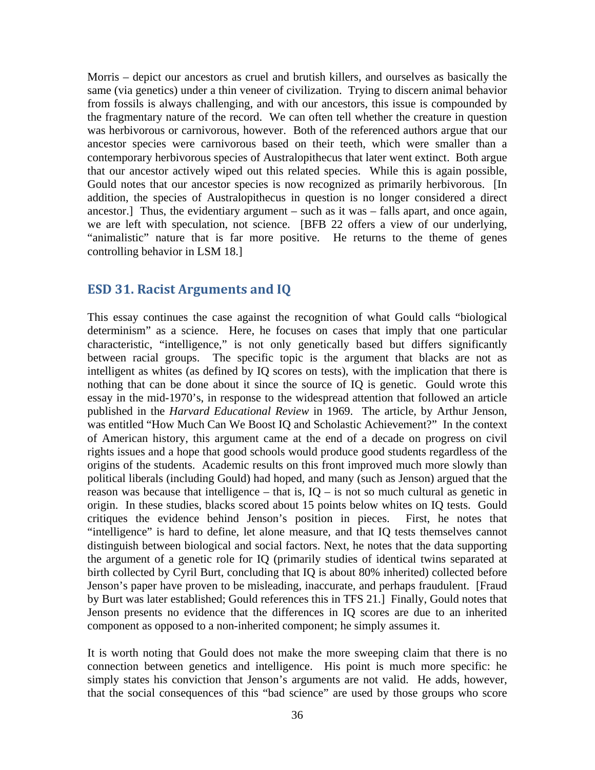Morris – depict our ancestors as cruel and brutish killers, and ourselves as basically the same (via genetics) under a thin veneer of civilization. Trying to discern animal behavior from fossils is always challenging, and with our ancestors, this issue is compounded by the fragmentary nature of the record. We can often tell whether the creature in question was herbivorous or carnivorous, however. Both of the referenced authors argue that our ancestor species were carnivorous based on their teeth, which were smaller than a contemporary herbivorous species of Australopithecus that later went extinct. Both argue that our ancestor actively wiped out this related species. While this is again possible, Gould notes that our ancestor species is now recognized as primarily herbivorous. [In addition, the species of Australopithecus in question is no longer considered a direct ancestor.] Thus, the evidentiary argument – such as it was – falls apart, and once again, we are left with speculation, not science. [BFB 22 offers a view of our underlying, "animalistic" nature that is far more positive. He returns to the theme of genes controlling behavior in LSM 18.]

#### <span id="page-35-0"></span>**ESD 31. Racist Arguments and IQ**

This essay continues the case against the recognition of what Gould calls "biological determinism" as a science. Here, he focuses on cases that imply that one particular characteristic, "intelligence," is not only genetically based but differs significantly between racial groups. The specific topic is the argument that blacks are not as intelligent as whites (as defined by IQ scores on tests), with the implication that there is nothing that can be done about it since the source of IQ is genetic. Gould wrote this essay in the mid-1970's, in response to the widespread attention that followed an article published in the *Harvard Educational Review* in 1969. The article, by Arthur Jenson, was entitled "How Much Can We Boost IQ and Scholastic Achievement?" In the context of American history, this argument came at the end of a decade on progress on civil rights issues and a hope that good schools would produce good students regardless of the origins of the students. Academic results on this front improved much more slowly than political liberals (including Gould) had hoped, and many (such as Jenson) argued that the reason was because that intelligence – that is,  $IQ - is$  not so much cultural as genetic in origin. In these studies, blacks scored about 15 points below whites on IQ tests. Gould critiques the evidence behind Jenson's position in pieces. First, he notes that "intelligence" is hard to define, let alone measure, and that IQ tests themselves cannot distinguish between biological and social factors. Next, he notes that the data supporting the argument of a genetic role for IQ (primarily studies of identical twins separated at birth collected by Cyril Burt, concluding that IQ is about 80% inherited) collected before Jenson's paper have proven to be misleading, inaccurate, and perhaps fraudulent. [Fraud by Burt was later established; Gould references this in TFS 21.] Finally, Gould notes that Jenson presents no evidence that the differences in IQ scores are due to an inherited component as opposed to a non-inherited component; he simply assumes it.

It is worth noting that Gould does not make the more sweeping claim that there is no connection between genetics and intelligence. His point is much more specific: he simply states his conviction that Jenson's arguments are not valid. He adds, however, that the social consequences of this "bad science" are used by those groups who score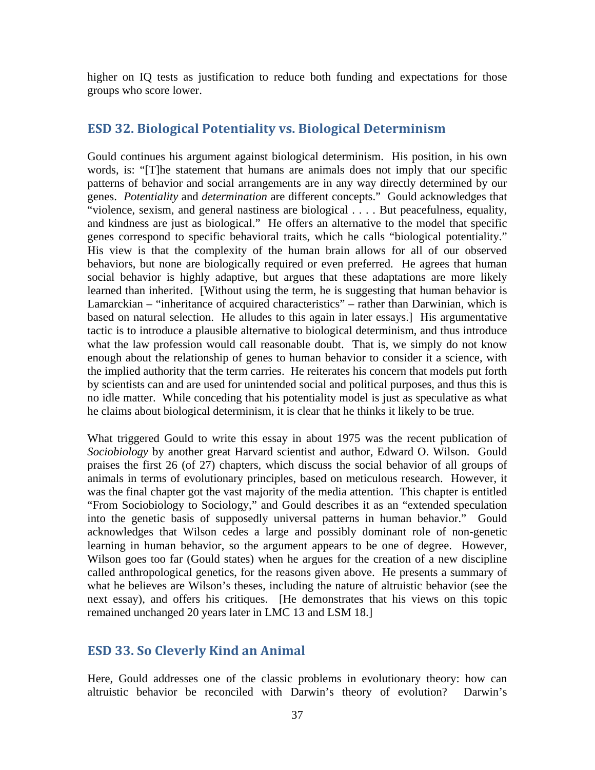<span id="page-36-0"></span>higher on IQ tests as justification to reduce both funding and expectations for those groups who score lower.

#### **ESD 32. Biological Potentiality vs. Biological Determinism**

Gould continues his argument against biological determinism. His position, in his own words, is: "[T]he statement that humans are animals does not imply that our specific patterns of behavior and social arrangements are in any way directly determined by our genes. *Potentiality* and *determination* are different concepts." Gould acknowledges that "violence, sexism, and general nastiness are biological . . . . But peacefulness, equality, and kindness are just as biological." He offers an alternative to the model that specific genes correspond to specific behavioral traits, which he calls "biological potentiality." His view is that the complexity of the human brain allows for all of our observed behaviors, but none are biologically required or even preferred. He agrees that human social behavior is highly adaptive, but argues that these adaptations are more likely learned than inherited. [Without using the term, he is suggesting that human behavior is Lamarckian – "inheritance of acquired characteristics" – rather than Darwinian, which is based on natural selection. He alludes to this again in later essays.] His argumentative tactic is to introduce a plausible alternative to biological determinism, and thus introduce what the law profession would call reasonable doubt. That is, we simply do not know enough about the relationship of genes to human behavior to consider it a science, with the implied authority that the term carries. He reiterates his concern that models put forth by scientists can and are used for unintended social and political purposes, and thus this is no idle matter. While conceding that his potentiality model is just as speculative as what he claims about biological determinism, it is clear that he thinks it likely to be true.

What triggered Gould to write this essay in about 1975 was the recent publication of *Sociobiology* by another great Harvard scientist and author, Edward O. Wilson. Gould praises the first 26 (of 27) chapters, which discuss the social behavior of all groups of animals in terms of evolutionary principles, based on meticulous research. However, it was the final chapter got the vast majority of the media attention. This chapter is entitled "From Sociobiology to Sociology," and Gould describes it as an "extended speculation into the genetic basis of supposedly universal patterns in human behavior." Gould acknowledges that Wilson cedes a large and possibly dominant role of non-genetic learning in human behavior, so the argument appears to be one of degree. However, Wilson goes too far (Gould states) when he argues for the creation of a new discipline called anthropological genetics, for the reasons given above. He presents a summary of what he believes are Wilson's theses, including the nature of altruistic behavior (see the next essay), and offers his critiques. [He demonstrates that his views on this topic remained unchanged 20 years later in LMC 13 and LSM 18.]

#### <span id="page-36-1"></span>**ESD 33. So Cleverly Kind an Animal**

Here, Gould addresses one of the classic problems in evolutionary theory: how can altruistic behavior be reconciled with Darwin's theory of evolution? Darwin's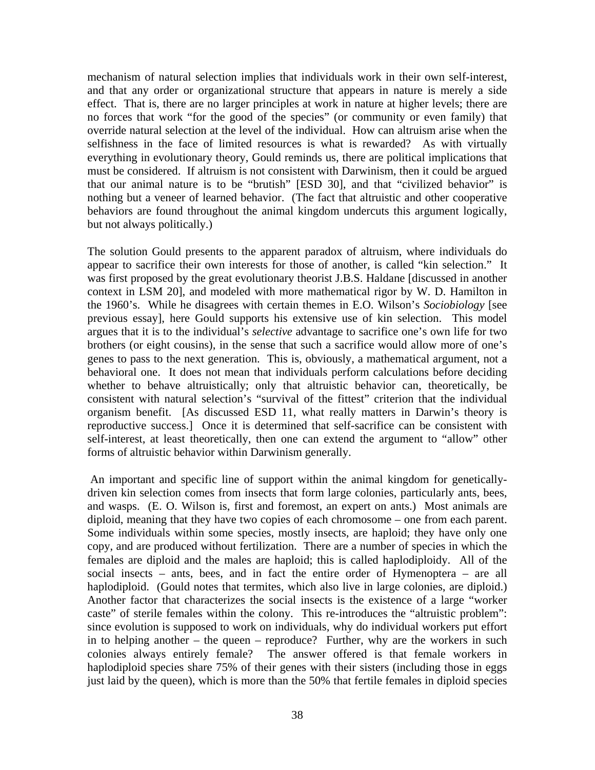mechanism of natural selection implies that individuals work in their own self-interest, and that any order or organizational structure that appears in nature is merely a side effect. That is, there are no larger principles at work in nature at higher levels; there are no forces that work "for the good of the species" (or community or even family) that override natural selection at the level of the individual. How can altruism arise when the selfishness in the face of limited resources is what is rewarded? As with virtually everything in evolutionary theory, Gould reminds us, there are political implications that must be considered. If altruism is not consistent with Darwinism, then it could be argued that our animal nature is to be "brutish" [ESD 30], and that "civilized behavior" is nothing but a veneer of learned behavior. (The fact that altruistic and other cooperative behaviors are found throughout the animal kingdom undercuts this argument logically, but not always politically.)

The solution Gould presents to the apparent paradox of altruism, where individuals do appear to sacrifice their own interests for those of another, is called "kin selection." It was first proposed by the great evolutionary theorist J.B.S. Haldane [discussed in another context in LSM 20], and modeled with more mathematical rigor by W. D. Hamilton in the 1960's. While he disagrees with certain themes in E.O. Wilson's *Sociobiology* [see previous essay], here Gould supports his extensive use of kin selection. This model argues that it is to the individual's *selective* advantage to sacrifice one's own life for two brothers (or eight cousins), in the sense that such a sacrifice would allow more of one's genes to pass to the next generation. This is, obviously, a mathematical argument, not a behavioral one. It does not mean that individuals perform calculations before deciding whether to behave altruistically; only that altruistic behavior can, theoretically, be consistent with natural selection's "survival of the fittest" criterion that the individual organism benefit. [As discussed ESD 11, what really matters in Darwin's theory is reproductive success.] Once it is determined that self-sacrifice can be consistent with self-interest, at least theoretically, then one can extend the argument to "allow" other forms of altruistic behavior within Darwinism generally.

An important and specific line of support within the animal kingdom for geneticallydriven kin selection comes from insects that form large colonies, particularly ants, bees, and wasps. (E. O. Wilson is, first and foremost, an expert on ants.) Most animals are diploid, meaning that they have two copies of each chromosome – one from each parent. Some individuals within some species, mostly insects, are haploid; they have only one copy, and are produced without fertilization. There are a number of species in which the females are diploid and the males are haploid; this is called haplodiploidy. All of the social insects – ants, bees, and in fact the entire order of Hymenoptera – are all haplodiploid. (Gould notes that termites, which also live in large colonies, are diploid.) Another factor that characterizes the social insects is the existence of a large "worker caste" of sterile females within the colony. This re-introduces the "altruistic problem": since evolution is supposed to work on individuals, why do individual workers put effort in to helping another – the queen – reproduce? Further, why are the workers in such colonies always entirely female? The answer offered is that female workers in haplodiploid species share 75% of their genes with their sisters (including those in eggs just laid by the queen), which is more than the 50% that fertile females in diploid species